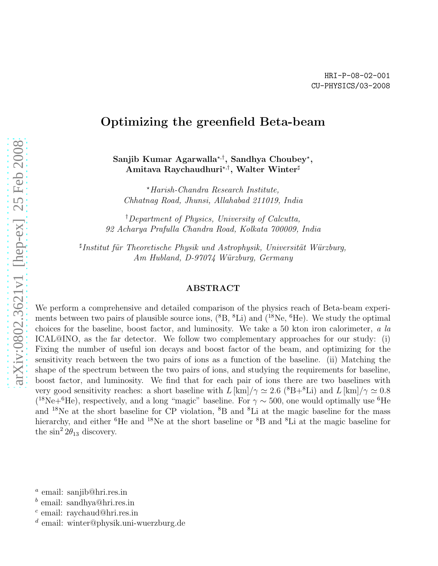## Optimizing the greenfield Beta-beam

Sanjib Kumar Agarwalla $^{\star,\dagger},$  Sandhya Choubey $^{\star},$  $\mathrm{Amitava} \ \mathrm{Raychaudhuri^{\star,\dagger}, \ Walter \ Winter^{\sharp}}$ 

<sup>⋆</sup>Harish-Chandra Research Institute, Chhatnag Road, Jhunsi, Allahabad 211019, India

†Department of Physics, University of Calcutta, 92 Acharya Prafulla Chandra Road, Kolkata 700009, India

 $#Institut für Theoretische Physik und Astrophysik, Universität Würzburg,$ Am Hubland, D-97074 Würzburg, Germany

#### ABSTRACT

We perform a comprehensive and detailed comparison of the physics reach of Beta-beam experiments between two pairs of plausible source ions,  $(^{8}B, ^{8}Li)$  and  $(^{18}Ne, ^{6}He)$ . We study the optimal choices for the baseline, boost factor, and luminosity. We take a 50 kton iron calorimeter, a la ICAL@INO, as the far detector. We follow two complementary approaches for our study: (i) Fixing the number of useful ion decays and boost factor of the beam, and optimizing for the sensitivity reach between the two pairs of ions as a function of the baseline. (ii) Matching the shape of the spectrum between the two pairs of ions, and studying the requirements for baseline, boost factor, and luminosity. We find that for each pair of ions there are two baselines with very good sensitivity reaches: a short baseline with  $L \text{ [km]}/\gamma \simeq 2.6 \text{ (}^{8}B+^{8}Li \text{)}$  and  $L \text{ [km]}/\gamma \simeq 0.8$  $(18\text{Ne}+6\text{He})$ , respectively, and a long "magic" baseline. For  $\gamma \sim 500$ , one would optimally use <sup>6</sup>He and  $18$ Ne at the short baseline for CP violation,  $8B$  and  $8Li$  at the magic baseline for the mass hierarchy, and either <sup>6</sup>He and <sup>18</sup>Ne at the short baseline or <sup>8</sup>B and <sup>8</sup>Li at the magic baseline for the  $\sin^2 2\theta_{13}$  discovery.

a email: sanjib@hri.res.in

<sup>&</sup>lt;sup>b</sup> email: sandhya@hri.res.in

c email: raychaud@hri.res.in

d email: winter@physik.uni-wuerzburg.de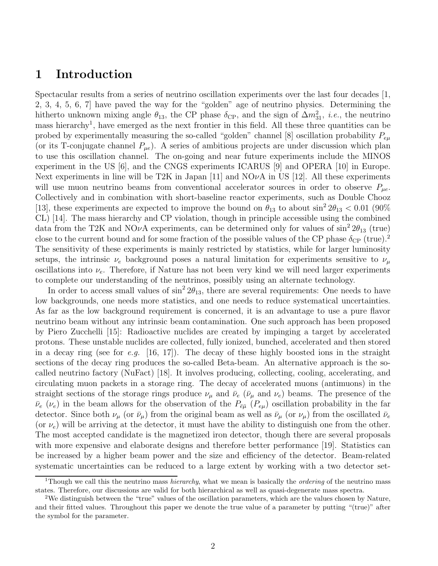## 1 Introduction

Spectacular results from a series of neutrino oscillation experiments over the last four decades [1, 2, 3, 4, 5, 6, 7] have paved the way for the "golden" age of neutrino physics. Determining the hitherto unknown mixing angle  $\theta_{13}$ , the CP phase  $\delta_{\text{CP}}$ , and the sign of  $\Delta m_{31}^2$ , *i.e.*, the neutrino mass hierarchy<sup>1</sup>, have emerged as the next frontier in this field. All these three quantities can be probed by experimentally measuring the so-called "golden" channel [8] oscillation probability  $P_{e\mu}$ (or its T-conjugate channel  $P_{\mu e}$ ). A series of ambitious projects are under discussion which plan to use this oscillation channel. The on-going and near future experiments include the MINOS experiment in the US [6], and the CNGS experiments ICARUS [9] and OPERA [10] in Europe. Next experiments in line will be T2K in Japan [11] and  $NO\nu A$  in US [12]. All these experiments will use muon neutrino beams from conventional accelerator sources in order to observe  $P_{\mu e}$ . Collectively and in combination with short-baseline reactor experiments, such as Double Chooz [13], these experiments are expected to improve the bound on  $\theta_{13}$  to about  $\sin^2 2\theta_{13} < 0.01$  (90%) CL) [14]. The mass hierarchy and CP violation, though in principle accessible using the combined data from the T2K and NO<sub>V</sub>A experiments, can be determined only for values of  $\sin^2 2\theta_{13}$  (true) close to the current bound and for some fraction of the possible values of the CP phase  $\delta_{\rm CP}$  (true).<sup>2</sup> The sensitivity of these experiments is mainly restricted by statistics, while for larger luminosity setups, the intrinsic  $\nu_e$  background poses a natural limitation for experiments sensitive to  $\nu_\mu$ oscillations into  $\nu_e$ . Therefore, if Nature has not been very kind we will need larger experiments to complete our understanding of the neutrinos, possibly using an alternate technology.

In order to access small values of  $\sin^2 2\theta_{13}$ , there are several requirements: One needs to have low backgrounds, one needs more statistics, and one needs to reduce systematical uncertainties. As far as the low background requirement is concerned, it is an advantage to use a pure flavor neutrino beam without any intrinsic beam contamination. One such approach has been proposed by Piero Zucchelli [15]: Radioactive nuclides are created by impinging a target by accelerated protons. These unstable nuclides are collected, fully ionized, bunched, accelerated and then stored in a decay ring (see for e.g. [16, 17]). The decay of these highly boosted ions in the straight sections of the decay ring produces the so-called Beta-beam. An alternative approach is the socalled neutrino factory (NuFact) [18]. It involves producing, collecting, cooling, accelerating, and circulating muon packets in a storage ring. The decay of accelerated muons (antimuons) in the straight sections of the storage rings produce  $\nu_{\mu}$  and  $\bar{\nu}_{e}$  ( $\bar{\nu}_{\mu}$  and  $\nu_{e}$ ) beams. The presence of the  $\bar{\nu}_e$  ( $\nu_e$ ) in the beam allows for the observation of the  $P_{\bar{e}\bar{\mu}}$  ( $P_{e\mu}$ ) oscillation probability in the far detector. Since both  $\nu_{\mu}$  (or  $\bar{\nu}_{\mu}$ ) from the original beam as well as  $\bar{\nu}_{\mu}$  (or  $\nu_{\mu}$ ) from the oscillated  $\bar{\nu}_{e}$ (or  $\nu_e$ ) will be arriving at the detector, it must have the ability to distinguish one from the other. The most accepted candidate is the magnetized iron detector, though there are several proposals with more expensive and elaborate designs and therefore better performance [19]. Statistics can be increased by a higher beam power and the size and efficiency of the detector. Beam-related systematic uncertainties can be reduced to a large extent by working with a two detector set-

<sup>&</sup>lt;sup>1</sup>Though we call this the neutrino mass *hierarchy*, what we mean is basically the *ordering* of the neutrino mass states. Therefore, our discussions are valid for both hierarchical as well as quasi-degenerate mass spectra.

<sup>&</sup>lt;sup>2</sup>We distinguish between the "true" values of the oscillation parameters, which are the values chosen by Nature, and their fitted values. Throughout this paper we denote the true value of a parameter by putting "(true)" after the symbol for the parameter.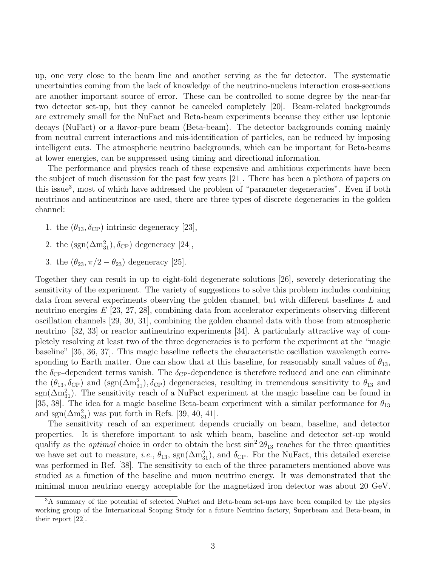up, one very close to the beam line and another serving as the far detector. The systematic uncertainties coming from the lack of knowledge of the neutrino-nucleus interaction cross-sections are another important source of error. These can be controlled to some degree by the near-far two detector set-up, but they cannot be canceled completely [20]. Beam-related backgrounds are extremely small for the NuFact and Beta-beam experiments because they either use leptonic decays (NuFact) or a flavor-pure beam (Beta-beam). The detector backgrounds coming mainly from neutral current interactions and mis-identification of particles, can be reduced by imposing intelligent cuts. The atmospheric neutrino backgrounds, which can be important for Beta-beams at lower energies, can be suppressed using timing and directional information.

The performance and physics reach of these expensive and ambitious experiments have been the subject of much discussion for the past few years [21]. There has been a plethora of papers on this issue<sup>3</sup>, most of which have addressed the problem of "parameter degeneracies". Even if both neutrinos and antineutrinos are used, there are three types of discrete degeneracies in the golden channel:

- 1. the  $(\theta_{13}, \delta_{\text{CP}})$  intrinsic degeneracy [23],
- 2. the  $(\text{sgn}(\Delta \text{m}_{31}^2), \delta_{\text{CP}})$  degeneracy [24],
- 3. the  $(\theta_{23}, \pi/2 \theta_{23})$  degeneracy [25].

Together they can result in up to eight-fold degenerate solutions [26], severely deteriorating the sensitivity of the experiment. The variety of suggestions to solve this problem includes combining data from several experiments observing the golden channel, but with different baselines L and neutrino energies E [23, 27, 28], combining data from accelerator experiments observing different oscillation channels [29, 30, 31], combining the golden channel data with those from atmospheric neutrino [32, 33] or reactor antineutrino experiments [34]. A particularly attractive way of completely resolving at least two of the three degeneracies is to perform the experiment at the "magic baseline" [35, 36, 37]. This magic baseline reflects the characteristic oscillation wavelength corresponding to Earth matter. One can show that at this baseline, for reasonably small values of  $\theta_{13}$ , the  $\delta_{\text{CP}}$ -dependent terms vanish. The  $\delta_{\text{CP}}$ -dependence is therefore reduced and one can eliminate the  $(\theta_{13}, \delta_{\text{CP}})$  and  $(\text{sgn}(\Delta m_{31}^2), \delta_{\text{CP}})$  degeneracies, resulting in tremendous sensitivity to  $\theta_{13}$  and  $\text{sgn}(\Delta m_{31}^2)$ . The sensitivity reach of a NuFact experiment at the magic baseline can be found in [35, 38]. The idea for a magic baseline Beta-beam experiment with a similar performance for  $\theta_{13}$ and sgn $(\Delta m_{31}^2)$  was put forth in Refs. [39, 40, 41].

The sensitivity reach of an experiment depends crucially on beam, baseline, and detector properties. It is therefore important to ask which beam, baseline and detector set-up would qualify as the *optimal* choice in order to obtain the best  $\sin^2 2\theta_{13}$  reaches for the three quantities we have set out to measure, *i.e.*,  $\theta_{13}$ , sgn( $\Delta m_{31}^2$ ), and  $\delta_{CP}$ . For the NuFact, this detailed exercise was performed in Ref. [38]. The sensitivity to each of the three parameters mentioned above was studied as a function of the baseline and muon neutrino energy. It was demonstrated that the minimal muon neutrino energy acceptable for the magnetized iron detector was about 20 GeV.

<sup>&</sup>lt;sup>3</sup>A summary of the potential of selected NuFact and Beta-beam set-ups have been compiled by the physics working group of the International Scoping Study for a future Neutrino factory, Superbeam and Beta-beam, in their report [22].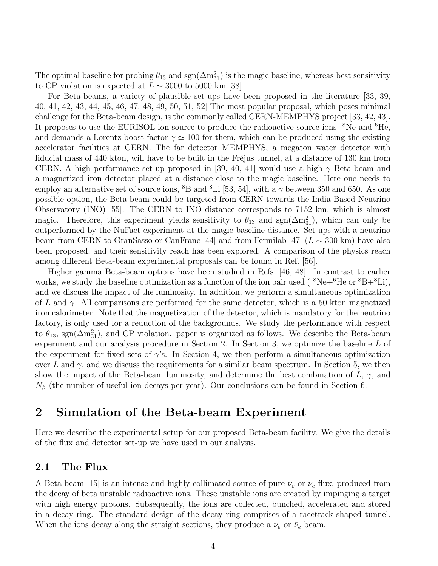The optimal baseline for probing  $\theta_{13}$  and  $sgn(\Delta m_{31}^2)$  is the magic baseline, whereas best sensitivity to CP violation is expected at  $L \sim 3000$  to 5000 km [38].

For Beta-beams, a variety of plausible set-ups have been proposed in the literature [33, 39, 40, 41, 42, 43, 44, 45, 46, 47, 48, 49, 50, 51, 52] The most popular proposal, which poses minimal challenge for the Beta-beam design, is the commonly called CERN-MEMPHYS project [33, 42, 43]. It proposes to use the EURISOL ion source to produce the radioactive source ions <sup>18</sup>Ne and <sup>6</sup>He, and demands a Lorentz boost factor  $\gamma \simeq 100$  for them, which can be produced using the existing accelerator facilities at CERN. The far detector MEMPHYS, a megaton water detector with fiducial mass of  $440$  kton, will have to be built in the Fréjus tunnel, at a distance of 130 km from CERN. A high performance set-up proposed in [39, 40, 41] would use a high  $\gamma$  Beta-beam and a magnetized iron detector placed at a distance close to the magic baseline. Here one needs to employ an alternative set of source ions,  ${}^{8}B$  and  ${}^{8}Li$  [53, 54], with a  $\gamma$  between 350 and 650. As one possible option, the Beta-beam could be targeted from CERN towards the India-Based Neutrino Observatory (INO) [55]. The CERN to INO distance corresponds to 7152 km, which is almost magic. Therefore, this experiment yields sensitivity to  $\theta_{13}$  and sgn( $\Delta m_{31}^2$ ), which can only be outperformed by the NuFact experiment at the magic baseline distance. Set-ups with a neutrino beam from CERN to GranSasso or CanFranc [44] and from Fermilab [47] ( $L \sim 300 \text{ km}$ ) have also been proposed, and their sensitivity reach has been explored. A comparison of the physics reach among different Beta-beam experimental proposals can be found in Ref. [56].

Higher gamma Beta-beam options have been studied in Refs. [46, 48]. In contrast to earlier works, we study the baseline optimization as a function of the ion pair used  $(^{18}Ne+^{6}He$  or  $^{8}B+^{8}Li$ ), and we discuss the impact of the luminosity. In addition, we perform a simultaneous optimization of L and  $\gamma$ . All comparisons are performed for the same detector, which is a 50 kton magnetized iron calorimeter. Note that the magnetization of the detector, which is mandatory for the neutrino factory, is only used for a reduction of the backgrounds. We study the performance with respect to  $\theta_{13}$ , sgn( $\Delta m_{31}^2$ ), and CP violation. paper is organized as follows. We describe the Beta-beam experiment and our analysis procedure in Section 2. In Section 3, we optimize the baseline L of the experiment for fixed sets of  $\gamma$ 's. In Section 4, we then perform a simultaneous optimization over L and  $\gamma$ , and we discuss the requirements for a similar beam spectrum. In Section 5, we then show the impact of the Beta-beam luminosity, and determine the best combination of  $L$ ,  $\gamma$ , and  $N_{\beta}$  (the number of useful ion decays per year). Our conclusions can be found in Section 6.

## 2 Simulation of the Beta-beam Experiment

Here we describe the experimental setup for our proposed Beta-beam facility. We give the details of the flux and detector set-up we have used in our analysis.

#### 2.1 The Flux

A Beta-beam [15] is an intense and highly collimated source of pure  $\nu_e$  or  $\bar{\nu}_e$  flux, produced from the decay of beta unstable radioactive ions. These unstable ions are created by impinging a target with high energy protons. Subsequently, the ions are collected, bunched, accelerated and stored in a decay ring. The standard design of the decay ring comprises of a racetrack shaped tunnel. When the ions decay along the straight sections, they produce a  $\nu_e$  or  $\bar{\nu}_e$  beam.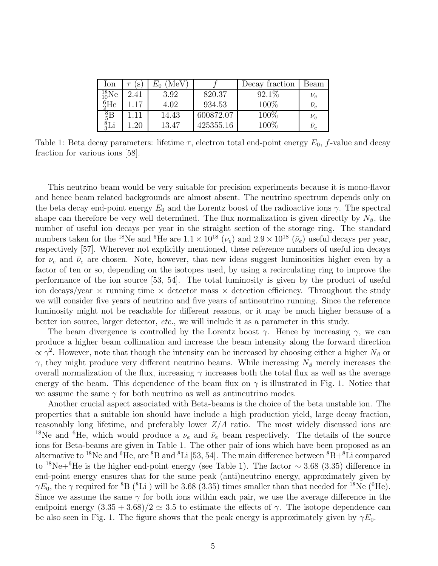| Ion             | l S  | (MeV<br>$E_0$ |           | Decay fraction | Beam          |
|-----------------|------|---------------|-----------|----------------|---------------|
| $^{18}_{10}Ne$  | 2.41 | 3.92          | 820.37    | $92.1\%$       | $\nu_e$       |
| ${}^{6}_{9}He$  |      | 4.02          | 934.53    | 100%           | $\bar{\nu}_e$ |
| ${}_{5}^{8}B$   |      | 14.43         | 600872.07 | $100\%$        | $\nu_e$       |
| ${}^{8}_{2}$ Li | .20  | 13.47         | 425355.16 | 100%           | $\bar{\nu}_e$ |

Table 1: Beta decay parameters: lifetime  $\tau$ , electron total end-point energy  $E_0$ , f-value and decay fraction for various ions [58].

This neutrino beam would be very suitable for precision experiments because it is mono-flavor and hence beam related backgrounds are almost absent. The neutrino spectrum depends only on the beta decay end-point energy  $E_0$  and the Lorentz boost of the radioactive ions  $\gamma$ . The spectral shape can therefore be very well determined. The flux normalization is given directly by  $N_{\beta}$ , the number of useful ion decays per year in the straight section of the storage ring. The standard numbers taken for the <sup>18</sup>Ne and <sup>6</sup>He are  $1.1 \times 10^{18}$  ( $\nu_e$ ) and  $2.9 \times 10^{18}$  ( $\bar{\nu}_e$ ) useful decays per year, respectively [57]. Wherever not explicitly mentioned, these reference numbers of useful ion decays for  $\nu_e$  and  $\bar{\nu}_e$  are chosen. Note, however, that new ideas suggest luminosities higher even by a factor of ten or so, depending on the isotopes used, by using a recirculating ring to improve the performance of the ion source [53, 54]. The total luminosity is given by the product of useful ion decays/year  $\times$  running time  $\times$  detector mass  $\times$  detection efficiency. Throughout the study we will consider five years of neutrino and five years of antineutrino running. Since the reference luminosity might not be reachable for different reasons, or it may be much higher because of a better ion source, larger detector, etc., we will include it as a parameter in this study.

The beam divergence is controlled by the Lorentz boost  $\gamma$ . Hence by increasing  $\gamma$ , we can produce a higher beam collimation and increase the beam intensity along the forward direction  $\propto \gamma^2$ . However, note that though the intensity can be increased by choosing either a higher  $N_\beta$  or  $γ$ , they might produce very different neutrino beams. While increasing  $N<sub>β</sub>$  merely increases the overall normalization of the flux, increasing  $\gamma$  increases both the total flux as well as the average energy of the beam. This dependence of the beam flux on  $\gamma$  is illustrated in Fig. 1. Notice that we assume the same  $\gamma$  for both neutrino as well as antineutrino modes.

Another crucial aspect associated with Beta-beams is the choice of the beta unstable ion. The properties that a suitable ion should have include a high production yield, large decay fraction, reasonably long lifetime, and preferably lower  $Z/A$  ratio. The most widely discussed ions are <sup>18</sup>Ne and <sup>6</sup>He, which would produce a  $\nu_e$  and  $\bar{\nu}_e$  beam respectively. The details of the source ions for Beta-beams are given in Table 1. The other pair of ions which have been proposed as an alternative to <sup>18</sup>Ne and <sup>6</sup>He, are <sup>8</sup>B and <sup>8</sup>Li [53, 54]. The main difference between  ${}^{8}B+{}^{8}Li$  compared to <sup>18</sup>Ne+<sup>6</sup>He is the higher end-point energy (see Table 1). The factor  $\sim$  3.68 (3.35) difference in end-point energy ensures that for the same peak (anti)neutrino energy, approximately given by  $\gamma E_0$ , the  $\gamma$  required for <sup>8</sup>B (<sup>8</sup>Li) will be 3.68 (3.35) times smaller than that needed for <sup>18</sup>Ne (<sup>6</sup>He). Since we assume the same  $\gamma$  for both ions within each pair, we use the average difference in the endpoint energy  $(3.35 + 3.68)/2 \approx 3.5$  to estimate the effects of  $\gamma$ . The isotope dependence can be also seen in Fig. 1. The figure shows that the peak energy is approximately given by  $\gamma E_0$ .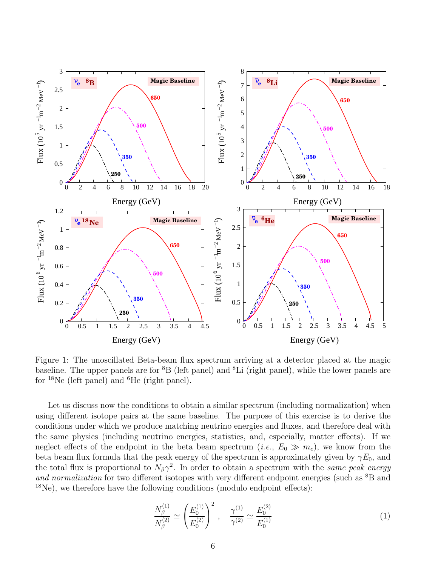

Figure 1: The unoscillated Beta-beam flux spectrum arriving at a detector placed at the magic baseline. The upper panels are for  ${}^{8}B$  (left panel) and  ${}^{8}Li$  (right panel), while the lower panels are for  $^{18}$ Ne (left panel) and  $^{6}$ He (right panel).

Let us discuss now the conditions to obtain a similar spectrum (including normalization) when using different isotope pairs at the same baseline. The purpose of this exercise is to derive the conditions under which we produce matching neutrino energies and fluxes, and therefore deal with the same physics (including neutrino energies, statistics, and, especially, matter effects). If we neglect effects of the endpoint in the beta beam spectrum (*i.e.*,  $E_0 \gg m_e$ ), we know from the beta beam flux formula that the peak energy of the spectrum is approximately given by  $\gamma E_0$ , and the total flux is proportional to  $N_\beta \gamma^2$ . In order to obtain a spectrum with the same peak energy and normalization for two different isotopes with very different endpoint energies (such as <sup>8</sup>B and  $^{18}$ Ne), we therefore have the following conditions (modulo endpoint effects):

$$
\frac{N_{\beta}^{(1)}}{N_{\beta}^{(2)}} \simeq \left(\frac{E_0^{(1)}}{E_0^{(2)}}\right)^2 \,, \quad \frac{\gamma^{(1)}}{\gamma^{(2)}} \simeq \frac{E_0^{(2)}}{E_0^{(1)}}\tag{1}
$$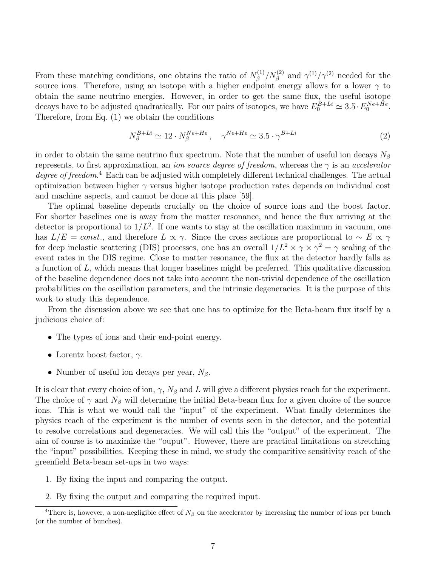From these matching conditions, one obtains the ratio of  $N_{\beta}^{(1)}$  $\frac{\gamma^{(1)}}{\beta}/N_{\beta}^{(2)}$  and  $\gamma^{(1)}/\gamma^{(2)}$  needed for the source ions. Therefore, using an isotope with a higher endpoint energy allows for a lower  $\gamma$  to obtain the same neutrino energies. However, in order to get the same flux, the useful isotope decays have to be adjusted quadratically. For our pairs of isotopes, we have  $E_0^{B+Li} \simeq 3.5 \cdot E_0^{Ne+He}$ . Therefore, from Eq. (1) we obtain the conditions

$$
N_{\beta}^{B+Li} \simeq 12 \cdot N_{\beta}^{Ne+He}, \quad \gamma^{Ne+He} \simeq 3.5 \cdot \gamma^{B+Li} \tag{2}
$$

in order to obtain the same neutrino flux spectrum. Note that the number of useful ion decays  $N_\beta$ represents, to first approximation, an *ion source degree of freedom*, whereas the  $\gamma$  is an *accelerator* degree of freedom.<sup>4</sup> Each can be adjusted with completely different technical challenges. The actual optimization between higher  $\gamma$  versus higher isotope production rates depends on individual cost and machine aspects, and cannot be done at this place [59].

The optimal baseline depends crucially on the choice of source ions and the boost factor. For shorter baselines one is away from the matter resonance, and hence the flux arriving at the detector is proportional to  $1/L^2$ . If one wants to stay at the oscillation maximum in vacuum, one has  $L/E = const.$ , and therefore  $L \propto \gamma$ . Since the cross sections are proportional to ~  $E \propto \gamma$ for deep inelastic scattering (DIS) processes, one has an overall  $1/L^2 \times \gamma \times \gamma^2 = \gamma$  scaling of the event rates in the DIS regime. Close to matter resonance, the flux at the detector hardly falls as a function of L, which means that longer baselines might be preferred. This qualitative discussion of the baseline dependence does not take into account the non-trivial dependence of the oscillation probabilities on the oscillation parameters, and the intrinsic degeneracies. It is the purpose of this work to study this dependence.

From the discussion above we see that one has to optimize for the Beta-beam flux itself by a judicious choice of:

- The types of ions and their end-point energy.
- Lorentz boost factor,  $\gamma$ .
- Number of useful ion decays per year,  $N_{\beta}$ .

It is clear that every choice of ion,  $\gamma$ ,  $N_\beta$  and L will give a different physics reach for the experiment. The choice of  $\gamma$  and  $N_\beta$  will determine the initial Beta-beam flux for a given choice of the source ions. This is what we would call the "input" of the experiment. What finally determines the physics reach of the experiment is the number of events seen in the detector, and the potential to resolve correlations and degeneracies. We will call this the "output" of the experiment. The aim of course is to maximize the "ouput". However, there are practical limitations on stretching the "input" possibilities. Keeping these in mind, we study the comparitive sensitivity reach of the greenfield Beta-beam set-ups in two ways:

- 1. By fixing the input and comparing the output.
- 2. By fixing the output and comparing the required input.

<sup>&</sup>lt;sup>4</sup>There is, however, a non-negligible effect of  $N_\beta$  on the accelerator by increasing the number of ions per bunch (or the number of bunches).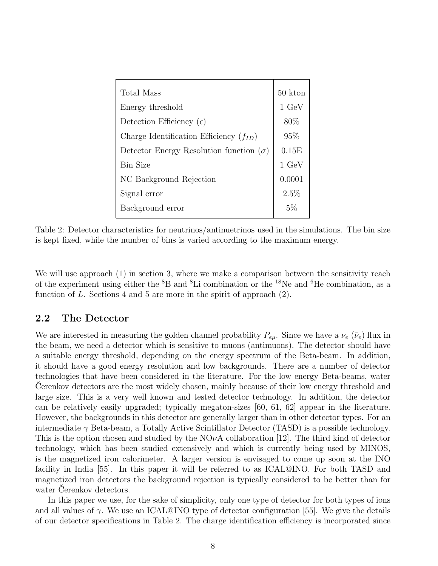| Total Mass                                     | 50 kton         |
|------------------------------------------------|-----------------|
| Energy threshold                               | $1 \text{ GeV}$ |
| Detection Efficiency $(\epsilon)$              | 80\%            |
| Charge Identification Efficiency $(f_{ID})$    | 95%             |
| Detector Energy Resolution function $(\sigma)$ | 0.15E           |
| <b>Bin Size</b>                                | $1 \text{ GeV}$ |
| NC Background Rejection                        | 0.0001          |
| Signal error                                   | $2.5\%$         |
| Background error                               | $5\%$           |

Table 2: Detector characteristics for neutrinos/antinuetrinos used in the simulations. The bin size is kept fixed, while the number of bins is varied according to the maximum energy.

We will use approach  $(1)$  in section 3, where we make a comparison between the sensitivity reach of the experiment using either the <sup>8</sup>B and <sup>8</sup>Li combination or the <sup>18</sup>Ne and <sup>6</sup>He combination, as a function of  $L$ . Sections 4 and 5 are more in the spirit of approach  $(2)$ .

### 2.2 The Detector

We are interested in measuring the golden channel probability  $P_{e\mu}$ . Since we have a  $\nu_e$  ( $\bar{\nu}_e$ ) flux in the beam, we need a detector which is sensitive to muons (antimuons). The detector should have a suitable energy threshold, depending on the energy spectrum of the Beta-beam. In addition, it should have a good energy resolution and low backgrounds. There are a number of detector technologies that have been considered in the literature. For the low energy Beta-beams, water Cerenkov detectors are the most widely chosen, mainly because of their low energy threshold and large size. This is a very well known and tested detector technology. In addition, the detector can be relatively easily upgraded; typically megaton-sizes [60, 61, 62] appear in the literature. However, the backgrounds in this detector are generally larger than in other detector types. For an intermediate  $\gamma$  Beta-beam, a Totally Active Scintillator Detector (TASD) is a possible technology. This is the option chosen and studied by the  $NQ\nu A$  collaboration [12]. The third kind of detector technology, which has been studied extensively and which is currently being used by MINOS, is the magnetized iron calorimeter. A larger version is envisaged to come up soon at the INO facility in India [55]. In this paper it will be referred to as ICAL@INO. For both TASD and magnetized iron detectors the background rejection is typically considered to be better than for water Cerenkov detectors.

In this paper we use, for the sake of simplicity, only one type of detector for both types of ions and all values of  $\gamma$ . We use an ICAL@INO type of detector configuration [55]. We give the details of our detector specifications in Table 2. The charge identification efficiency is incorporated since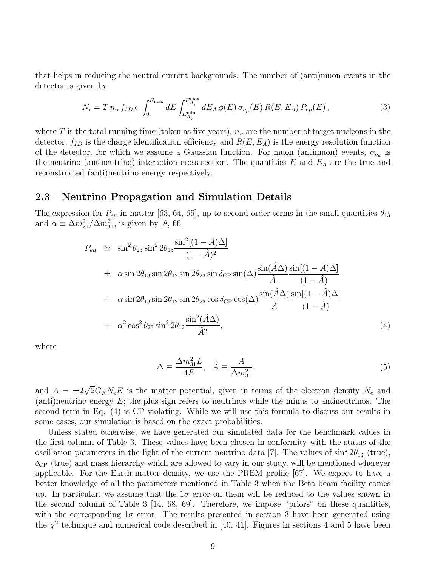that helps in reducing the neutral current backgrounds. The number of (anti)muon events in the detector is given by

$$
N_i = T n_n f_{ID} \epsilon \int_0^{E_{\text{max}}} dE \int_{E_{A_i}^{\text{min}}}^{E_{A_i}^{\text{max}}} dE_A \phi(E) \,\sigma_{\nu_\mu}(E) R(E, E_A) P_{e\mu}(E) , \qquad (3)
$$

where T is the total running time (taken as five years),  $n_n$  are the number of target nucleons in the detector,  $f_{ID}$  is the charge identification efficiency and  $R(E, E_A)$  is the energy resolution function of the detector, for which we assume a Gaussian function. For muon (antimuon) events,  $\sigma_{\nu_{\mu}}$  is the neutrino (antineutrino) interaction cross-section. The quantities  $E$  and  $E_A$  are the true and reconstructed (anti)neutrino energy respectively.

#### 2.3 Neutrino Propagation and Simulation Details

The expression for  $P_{e\mu}$  in matter [63, 64, 65], up to second order terms in the small quantities  $\theta_{13}$ and  $\alpha \equiv \Delta m_{21}^2 / \Delta m_{31}^2$ , is given by [8, 66]

$$
P_{e\mu} \simeq \sin^2 \theta_{23} \sin^2 2\theta_{13} \frac{\sin^2[(1-\hat{A})\Delta]}{(1-\hat{A})^2}
$$
  
\n
$$
\pm \alpha \sin 2\theta_{13} \sin 2\theta_{12} \sin 2\theta_{23} \sin \delta_{\text{CP}} \sin(\Delta) \frac{\sin(\hat{A}\Delta)}{\hat{A}} \frac{\sin[(1-\hat{A})\Delta]}{(1-\hat{A})}
$$
  
\n
$$
+ \alpha \sin 2\theta_{13} \sin 2\theta_{12} \sin 2\theta_{23} \cos \delta_{\text{CP}} \cos(\Delta) \frac{\sin(\hat{A}\Delta)}{\hat{A}} \frac{\sin[(1-\hat{A})\Delta]}{(1-\hat{A})}
$$
  
\n
$$
+ \alpha^2 \cos^2 \theta_{23} \sin^2 2\theta_{12} \frac{\sin^2(\hat{A}\Delta)}{\hat{A}^2},
$$
\n(4)

where

$$
\Delta \equiv \frac{\Delta m_{31}^2 L}{4E}, \quad \hat{A} \equiv \frac{A}{\Delta m_{31}^2},\tag{5}
$$

and  $A = \pm 2\sqrt{2}G_F N_e E$  is the matter potential, given in terms of the electron density  $N_e$  and (anti)neutrino energy  $E$ ; the plus sign refers to neutrinos while the minus to antineutrinos. The second term in Eq. (4) is CP violating. While we will use this formula to discuss our results in some cases, our simulation is based on the exact probabilities.

Unless stated otherwise, we have generated our simulated data for the benchmark values in the first column of Table 3. These values have been chosen in conformity with the status of the oscillation parameters in the light of the current neutrino data [7]. The values of  $\sin^2 2\theta_{13}$  (true),  $\delta_{\text{CP}}$  (true) and mass hierarchy which are allowed to vary in our study, will be mentioned wherever applicable. For the Earth matter density, we use the PREM profile [67]. We expect to have a better knowledge of all the parameters mentioned in Table 3 when the Beta-beam facility comes up. In particular, we assume that the  $1\sigma$  error on them will be reduced to the values shown in the second column of Table 3 [14, 68, 69]. Therefore, we impose "priors" on these quantities, with the corresponding  $1\sigma$  error. The results presented in section 3 have been generated using the  $\chi^2$  technique and numerical code described in [40, 41]. Figures in sections 4 and 5 have been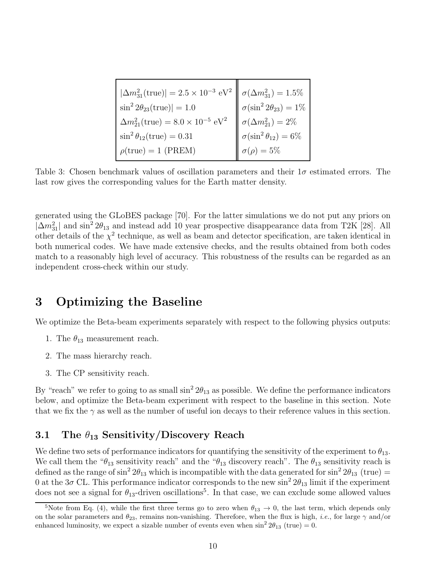| $ \Delta m_{31}^2(\text{true})  = 2.5 \times 10^{-3} \text{ eV}^2 \parallel \sigma(\Delta m_{31}^2) = 1.5\%$ |                                      |
|--------------------------------------------------------------------------------------------------------------|--------------------------------------|
| $\sin^2 2\theta_{23}(\text{true}) = 1.0$                                                                     | $\sigma(\sin^2 2\theta_{23}) = 1\%$  |
| $\Delta m^2_{21}{\rm (true)} = 8.0 \times 10^{-5} \ {\rm eV^2}$                                              | $\int \sigma(\Delta m^2_{21}) = 2\%$ |
| $\sin^2 \theta_{12}$ (true) = 0.31                                                                           | $\sigma(\sin^2\theta_{12})=6\%$      |
| $\rho(\text{true}) = 1 \text{ (PREM)}$                                                                       | $\sigma(\rho) = 5\%$                 |

Table 3: Chosen benchmark values of oscillation parameters and their  $1\sigma$  estimated errors. The last row gives the corresponding values for the Earth matter density.

generated using the GLoBES package [70]. For the latter simulations we do not put any priors on  $|\Delta m_{31}^2|$  and  $\sin^2 2\theta_{13}$  and instead add 10 year prospective disappearance data from T2K [28]. All other details of the  $\chi^2$  technique, as well as beam and detector specification, are taken identical in both numerical codes. We have made extensive checks, and the results obtained from both codes match to a reasonably high level of accuracy. This robustness of the results can be regarded as an independent cross-check within our study.

## 3 Optimizing the Baseline

We optimize the Beta-beam experiments separately with respect to the following physics outputs:

- 1. The  $\theta_{13}$  measurement reach.
- 2. The mass hierarchy reach.
- 3. The CP sensitivity reach.

By "reach" we refer to going to as small  $\sin^2 2\theta_{13}$  as possible. We define the performance indicators below, and optimize the Beta-beam experiment with respect to the baseline in this section. Note that we fix the  $\gamma$  as well as the number of useful ion decays to their reference values in this section.

### 3.1 The  $\theta_{13}$  Sensitivity/Discovery Reach

We define two sets of performance indicators for quantifying the sensitivity of the experiment to  $\theta_{13}$ . We call them the " $\theta_{13}$  sensitivity reach" and the " $\theta_{13}$  discovery reach". The  $\theta_{13}$  sensitivity reach is defined as the range of  $\sin^2 2\theta_{13}$  which is incompatible with the data generated for  $\sin^2 2\theta_{13}$  (true) = 0 at the  $3\sigma$  CL. This performance indicator corresponds to the new  $\sin^2 2\theta_{13}$  limit if the experiment does not see a signal for  $\theta_{13}$ -driven oscillations<sup>5</sup>. In that case, we can exclude some allowed values

<sup>&</sup>lt;sup>5</sup>Note from Eq. (4), while the first three terms go to zero when  $\theta_{13} \rightarrow 0$ , the last term, which depends only on the solar parameters and  $\theta_{23}$ , remains non-vanishing. Therefore, when the flux is high, *i.e.*, for large  $\gamma$  and/or enhanced luminosity, we expect a sizable number of events even when  $\sin^2 2\theta_{13}$  (true) = 0.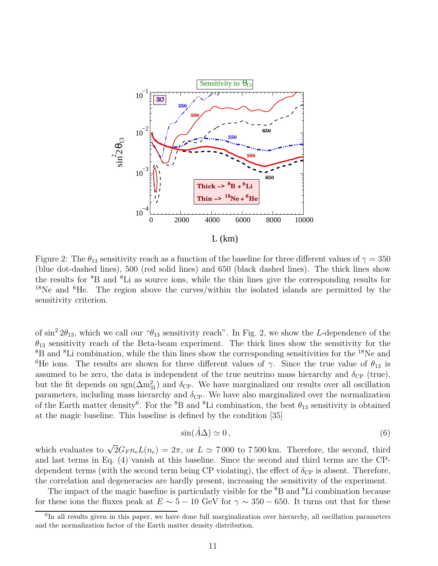

Figure 2: The  $\theta_{13}$  sensitivity reach as a function of the baseline for three different values of  $\gamma = 350$ (blue dot-dashed lines), 500 (red solid lines) and 650 (black dashed lines). The thick lines show the results for <sup>8</sup>B and <sup>8</sup>Li as source ions, while the thin lines give the corresponding results for <sup>18</sup>Ne and <sup>6</sup>He. The region above the curves/within the isolated islands are permitted by the sensitivity criterion.

of  $\sin^2 2\theta_{13}$ , which we call our " $\theta_{13}$  sensitivity reach". In Fig. 2, we show the L-dependence of the  $\theta_{13}$  sensitivity reach of the Beta-beam experiment. The thick lines show the sensitivity for the <sup>8</sup>B and <sup>8</sup>Li combination, while the thin lines show the corresponding sensitivities for the <sup>18</sup>Ne and <sup>6</sup>He ions. The results are shown for three different values of  $\gamma$ . Since the true value of  $\theta_{13}$  is assumed to be zero, the data is independent of the true neutrino mass hierarchy and  $\delta_{\text{CP}}$  (true), but the fit depends on  $sgn(\Delta m_{31}^2)$  and  $\delta_{CP}$ . We have marginalized our results over all oscillation parameters, including mass hierarchy and  $\delta_{\text{CP}}$ . We have also marginalized over the normalization of the Earth matter density<sup>6</sup>. For the <sup>8</sup>B and <sup>8</sup>Li combination, the best  $\theta_{13}$  sensitivity is obtained at the magic baseline. This baseline is defined by the condition [35]

$$
\sin(\hat{A}\Delta) \simeq 0\,,\tag{6}
$$

which evaluates to  $\sqrt{2}G_F n_e L(n_e) = 2\pi$ , or  $L \simeq 7000$  to 7500 km. Therefore, the second, third and last terms in Eq. (4) vanish at this baseline. Since the second and third terms are the CPdependent terms (with the second term being CP violating), the effect of  $\delta_{\rm CP}$  is absent. Therefore, the correlation and degeneracies are hardly present, increasing the sensitivity of the experiment.

The impact of the magic baseline is particularly visible for the  ${}^{8}B$  and  ${}^{8}Li$  combination because for these ions the fluxes peak at  $E \sim 5 - 10$  GeV for  $\gamma \sim 350 - 650$ . It turns out that for these

<sup>6</sup> In all results given in this paper, we have done full marginalization over hierarchy, all oscillation parameters and the normalization factor of the Earth matter density distribution.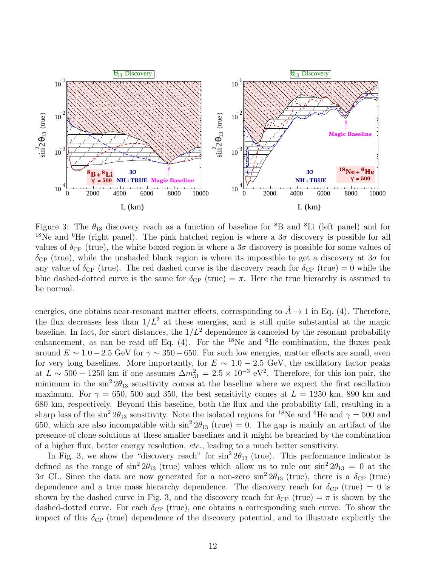

Figure 3: The  $\theta_{13}$  discovery reach as a function of baseline for <sup>8</sup>B and <sup>8</sup>Li (left panel) and for <sup>18</sup>Ne and <sup>6</sup>He (right panel). The pink hatched region is where a  $3\sigma$  discovery is possible for all values of  $\delta_{\text{CP}}$  (true), the white boxed region is where a  $3\sigma$  discovery is possible for some values of  $\delta_{\text{CP}}$  (true), while the unshaded blank region is where its impossible to get a discovery at  $3\sigma$  for any value of  $\delta_{\rm CP}$  (true). The red dashed curve is the discovery reach for  $\delta_{\rm CP}$  (true) = 0 while the blue dashed-dotted curve is the same for  $\delta_{\text{CP}}$  (true) =  $\pi$ . Here the true hierarchy is assumed to be normal.

energies, one obtains near-resonant matter effects, corresponding to  $\hat{A} \to 1$  in Eq. (4). Therefore, the flux decreases less than  $1/L^2$  at these energies, and is still quite substantial at the magic baseline. In fact, for short distances, the  $1/L^2$  dependence is canceled by the resonant probability enhancement, as can be read off Eq.  $(4)$ . For the <sup>18</sup>Ne and <sup>6</sup>He combination, the fluxes peak around  $E \sim 1.0 - 2.5$  GeV for  $\gamma \sim 350 - 650$ . For such low energies, matter effects are small, even for very long baselines. More importantly, for  $E \sim 1.0 - 2.5$  GeV, the oscillatory factor peaks at  $L \sim 500 - 1250$  km if one assumes  $\Delta m_{31}^2 = 2.5 \times 10^{-3}$  eV<sup>2</sup>. Therefore, for this ion pair, the minimum in the  $\sin^2 2\theta_{13}$  sensitivity comes at the baseline where we expect the first oscillation maximum. For  $\gamma = 650$ , 500 and 350, the best sensitivity comes at  $L = 1250$  km, 890 km and 680 km, respectively. Beyond this baseline, both the flux and the probability fall, resulting in a sharp loss of the sin<sup>2</sup>  $2\theta_{13}$  sensitivity. Note the isolated regions for <sup>18</sup>Ne and <sup>6</sup>He and  $\gamma = 500$  and 650, which are also incompatible with  $\sin^2 2\theta_{13}$  (true) = 0. The gap is mainly an artifact of the presence of clone solutions at these smaller baselines and it might be breached by the combination of a higher flux, better energy resolution, etc., leading to a much better sensitivity.

In Fig. 3, we show the "discovery reach" for  $\sin^2 2\theta_{13}$  (true). This performance indicator is defined as the range of  $\sin^2 2\theta_{13}$  (true) values which allow us to rule out  $\sin^2 2\theta_{13} = 0$  at the 3σ CL. Since the data are now generated for a non-zero  $\sin^2 2\theta_{13}$  (true), there is a  $\delta_{\rm CP}$  (true) dependence and a true mass hierarchy dependence. The discovery reach for  $\delta_{\rm CP}$  (true) = 0 is shown by the dashed curve in Fig. 3, and the discovery reach for  $\delta_{\rm CP}$  (true) =  $\pi$  is shown by the dashed-dotted curve. For each  $\delta_{\text{CP}}$  (true), one obtains a corresponding such curve. To show the impact of this  $\delta_{\text{CP}}$  (true) dependence of the discovery potential, and to illustrate explicitly the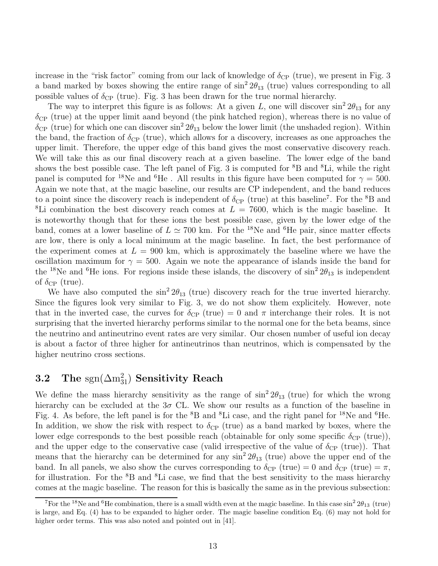increase in the "risk factor" coming from our lack of knowledge of  $\delta_{CP}$  (true), we present in Fig. 3 a band marked by boxes showing the entire range of  $\sin^2 2\theta_{13}$  (true) values corresponding to all possible values of  $\delta_{\text{CP}}$  (true). Fig. 3 has been drawn for the true normal hierarchy.

The way to interpret this figure is as follows: At a given L, one will discover  $\sin^2 2\theta_{13}$  for any  $\delta_{\text{CP}}$  (true) at the upper limit aand beyond (the pink hatched region), whereas there is no value of  $\delta_{\text{CP}}$  (true) for which one can discover sin<sup>2</sup>  $2\theta_{13}$  below the lower limit (the unshaded region). Within the band, the fraction of  $\delta_{\text{CP}}$  (true), which allows for a discovery, increases as one approaches the upper limit. Therefore, the upper edge of this band gives the most conservative discovery reach. We will take this as our final discovery reach at a given baseline. The lower edge of the band shows the best possible case. The left panel of Fig. 3 is computed for <sup>8</sup>B and <sup>8</sup>Li, while the right panel is computed for <sup>18</sup>Ne and <sup>6</sup>He. All results in this figure have been computed for  $\gamma = 500$ . Again we note that, at the magic baseline, our results are CP independent, and the band reduces to a point since the discovery reach is independent of  $\delta_{\text{CP}}$  (true) at this baseline<sup>7</sup>. For the <sup>8</sup>B and <sup>8</sup>Li combination the best discovery reach comes at  $L = 7600$ , which is the magic baseline. It is noteworthy though that for these ions the best possible case, given by the lower edge of the band, comes at a lower baseline of  $L \approx 700$  km. For the <sup>18</sup>Ne and <sup>6</sup>He pair, since matter effects are low, there is only a local minimum at the magic baseline. In fact, the best performance of the experiment comes at  $L = 900$  km, which is approximately the baseline where we have the oscillation maximum for  $\gamma = 500$ . Again we note the appearance of islands inside the band for the <sup>18</sup>Ne and <sup>6</sup>He ions. For regions inside these islands, the discovery of  $\sin^2 2\theta_{13}$  is independent of  $\delta_{\rm CP}$  (true).

We have also computed the  $\sin^2 2\theta_{13}$  (true) discovery reach for the true inverted hierarchy. Since the figures look very similar to Fig. 3, we do not show them explicitely. However, note that in the inverted case, the curves for  $\delta_{\rm CP}$  (true) = 0 and  $\pi$  interchange their roles. It is not surprising that the inverted hierarchy performs similar to the normal one for the beta beams, since the neutrino and antineutrino event rates are very similar. Our chosen number of useful ion decay is about a factor of three higher for antineutrinos than neutrinos, which is compensated by the higher neutrino cross sections.

# $3.2$  The  $\text{sgn}(\Delta \text{m}_{31}^2)$  Sensitivity Reach

We define the mass hierarchy sensitivity as the range of  $\sin^2 2\theta_{13}$  (true) for which the wrong hierarchy can be excluded at the  $3\sigma$  CL. We show our results as a function of the baseline in Fig. 4. As before, the left panel is for the <sup>8</sup>B and <sup>8</sup>Li case, and the right panel for <sup>18</sup>Ne and <sup>6</sup>He. In addition, we show the risk with respect to  $\delta_{\text{CP}}$  (true) as a band marked by boxes, where the lower edge corresponds to the best possible reach (obtainable for only some specific  $\delta_{\rm CP}$  (true)), and the upper edge to the conservative case (valid irrespective of the value of  $\delta_{\rm CP}$  (true)). That means that the hierarchy can be determined for any  $\sin^2 2\theta_{13}$  (true) above the upper end of the band. In all panels, we also show the curves corresponding to  $\delta_{\rm CP}$  (true) = 0 and  $\delta_{\rm CP}$  (true) =  $\pi$ , for illustration. For the  ${}^{8}B$  and  ${}^{8}Li$  case, we find that the best sensitivity to the mass hierarchy comes at the magic baseline. The reason for this is basically the same as in the previous subsection:

<sup>&</sup>lt;sup>7</sup>For the <sup>18</sup>Ne and <sup>6</sup>He combination, there is a small width even at the magic baseline. In this case  $\sin^2 2\theta_{13}$  (true) is large, and Eq. (4) has to be expanded to higher order. The magic baseline condition Eq. (6) may not hold for higher order terms. This was also noted and pointed out in [41].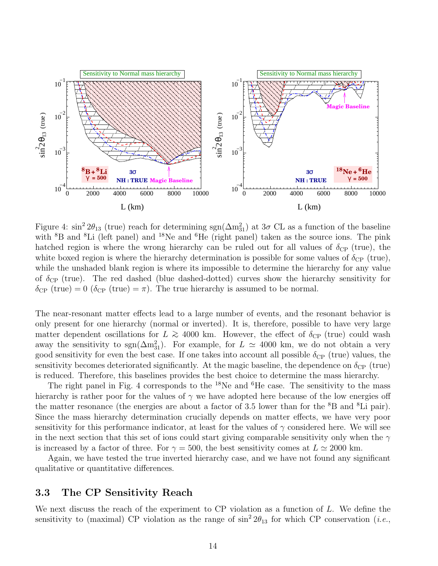

Figure 4:  $\sin^2 2\theta_{13}$  (true) reach for determining  $sgn(\Delta m_{31}^2)$  at  $3\sigma$  CL as a function of the baseline with  ${}^{8}B$  and  ${}^{8}Li$  (left panel) and  ${}^{18}Ne$  and  ${}^{6}He$  (right panel) taken as the source ions. The pink hatched region is where the wrong hierarchy can be ruled out for all values of  $\delta_{\text{CP}}$  (true), the white boxed region is where the hierarchy determination is possible for some values of  $\delta_{\text{CP}}$  (true), while the unshaded blank region is where its impossible to determine the hierarchy for any value of  $\delta_{\text{CP}}$  (true). The red dashed (blue dashed-dotted) curves show the hierarchy sensitivity for  $\delta_{\rm CP}$  (true) = 0 ( $\delta_{\rm CP}$  (true) =  $\pi$ ). The true hierarchy is assumed to be normal.

The near-resonant matter effects lead to a large number of events, and the resonant behavior is only present for one hierarchy (normal or inverted). It is, therefore, possible to have very large matter dependent oscillations for  $L \ge 4000$  km. However, the effect of  $\delta_{\rm CP}$  (true) could wash away the sensitivity to sgn( $\Delta m_{31}^2$ ). For example, for  $L \simeq 4000$  km, we do not obtain a very good sensitivity for even the best case. If one takes into account all possible  $\delta_{\rm CP}$  (true) values, the sensitivity becomes deteriorated significantly. At the magic baseline, the dependence on  $\delta_{\text{CP}}$  (true) is reduced. Therefore, this baselines provides the best choice to determine the mass hierarchy.

The right panel in Fig. 4 corresponds to the  $^{18}$ Ne and  $^{6}$ He case. The sensitivity to the mass hierarchy is rather poor for the values of  $\gamma$  we have adopted here because of the low energies off the matter resonance (the energies are about a factor of 3.5 lower than for the  ${}^{8}B$  and  ${}^{8}Li$  pair). Since the mass hierarchy determination crucially depends on matter effects, we have very poor sensitivity for this performance indicator, at least for the values of  $\gamma$  considered here. We will see in the next section that this set of ions could start giving comparable sensitivity only when the  $\gamma$ is increased by a factor of three. For  $\gamma = 500$ , the best sensitivity comes at  $L \simeq 2000$  km.

Again, we have tested the true inverted hierarchy case, and we have not found any significant qualitative or quantitative differences.

#### 3.3 The CP Sensitivity Reach

We next discuss the reach of the experiment to  $CP$  violation as a function of  $L$ . We define the sensitivity to (maximal) CP violation as the range of  $\sin^2 2\theta_{13}$  for which CP conservation (*i.e.*,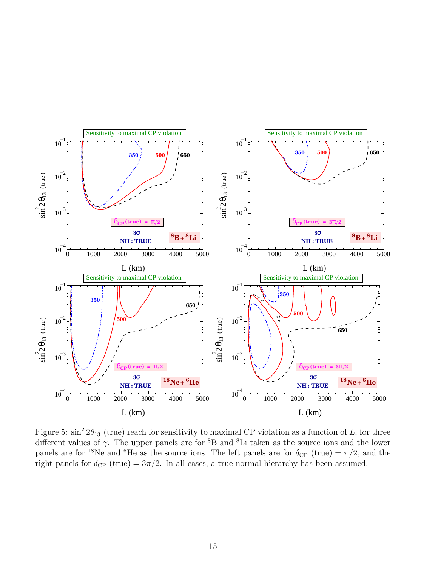

Figure 5:  $\sin^2 2\theta_{13}$  (true) reach for sensitivity to maximal CP violation as a function of L, for three different values of  $\gamma$ . The upper panels are for <sup>8</sup>B and <sup>8</sup>Li taken as the source ions and the lower panels are for <sup>18</sup>Ne and <sup>6</sup>He as the source ions. The left panels are for  $\delta_{\rm CP}$  (true) =  $\pi/2$ , and the right panels for  $\delta_{\text{CP}}$  (true) =  $3\pi/2$ . In all cases, a true normal hierarchy has been assumed.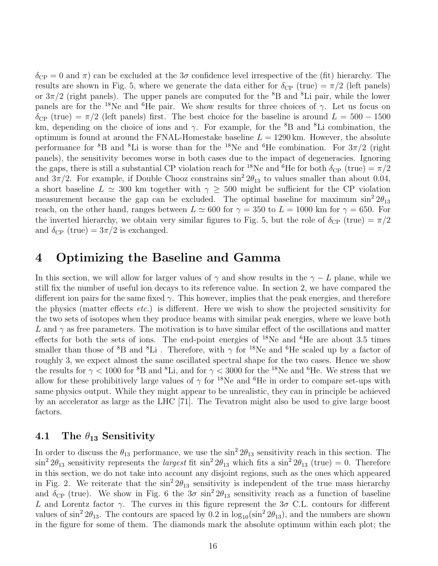$\delta_{\text{CP}} = 0$  and  $\pi$ ) can be excluded at the  $3\sigma$  confidence level irrespective of the (fit) hierarchy. The results are shown in Fig. 5, where we generate the data either for  $\delta_{CP}$  (true) =  $\pi/2$  (left panels) or  $3\pi/2$  (right panels). The upper panels are computed for the <sup>8</sup>B and <sup>8</sup>Li pair, while the lower panels are for the <sup>18</sup>Ne and <sup>6</sup>He pair. We show results for three choices of  $\gamma$ . Let us focus on  $\delta_{\rm CP}$  (true) =  $\pi/2$  (left panels) first. The best choice for the baseline is around  $L = 500 - 1500$ km, depending on the choice of ions and  $\gamma$ . For example, for the <sup>8</sup>B and <sup>8</sup>Li combination, the optimum is found at around the FNAL-Homestake baseline  $L = 1290 \text{ km}$ . However, the absolute performance for <sup>8</sup>B and <sup>8</sup>Li is worse than for the <sup>18</sup>Ne and <sup>6</sup>He combination. For  $3\pi/2$  (right panels), the sensitivity becomes worse in both cases due to the impact of degeneracies. Ignoring the gaps, there is still a substantial CP violation reach for <sup>18</sup>Ne and <sup>6</sup>He for both  $\delta_{\rm CP}$  (true) =  $\pi/2$ and  $3\pi/2$ . For example, if Double Chooz constrains  $\sin^2 2\theta_{13}$  to values smaller than about 0.04, a short baseline  $L \approx 300$  km together with  $\gamma \geq 500$  might be sufficient for the CP violation measurement because the gap can be excluded. The optimal baseline for maximum  $\sin^2 2\theta_{13}$ reach, on the other hand, ranges between  $L \simeq 600$  for  $\gamma = 350$  to  $L = 1000$  km for  $\gamma = 650$ . For the inverted hierarchy, we obtain very similar figures to Fig. 5, but the role of  $\delta_{\rm CP}$  (true) =  $\pi/2$ and  $\delta_{\rm CP}$  (true) =  $3\pi/2$  is exchanged.

## 4 Optimizing the Baseline and Gamma

In this section, we will allow for larger values of  $\gamma$  and show results in the  $\gamma - L$  plane, while we still fix the number of useful ion decays to its reference value. In section 2, we have compared the different ion pairs for the same fixed  $\gamma$ . This however, implies that the peak energies, and therefore the physics (matter effects etc.) is different. Here we wish to show the projected sensitivity for the two sets of isotopes when they produce beams with similar peak energies, where we leave both L and  $\gamma$  as free parameters. The motivation is to have similar effect of the oscillations and matter effects for both the sets of ions. The end-point energies of  $^{18}$ Ne and  $^{6}$ He are about 3.5 times smaller than those of <sup>8</sup>B and <sup>8</sup>Li. Therefore, with  $\gamma$  for <sup>18</sup>Ne and <sup>6</sup>He scaled up by a factor of roughly 3, we expect almost the same oscillated spectral shape for the two cases. Hence we show the results for  $\gamma < 1000$  for <sup>8</sup>B and <sup>8</sup>Li, and for  $\gamma < 3000$  for the <sup>18</sup>Ne and <sup>6</sup>He. We stress that we allow for these prohibitively large values of  $\gamma$  for <sup>18</sup>Ne and <sup>6</sup>He in order to compare set-ups with same physics output. While they might appear to be unrealistic, they can in principle be achieved by an accelerator as large as the LHC [71]. The Tevatron might also be used to give large boost factors.

### 4.1 The  $\theta_{13}$  Sensitivity

In order to discuss the  $\theta_{13}$  performance, we use the  $\sin^2 2\theta_{13}$  sensitivity reach in this section. The  $\sin^2 2\theta_{13}$  sensitivity represents the *largest* fit  $\sin^2 2\theta_{13}$  which fits a  $\sin^2 2\theta_{13}$  (true) = 0. Therefore in this section, we do not take into account any disjoint regions, such as the ones which appeared in Fig. 2. We reiterate that the  $\sin^2 2\theta_{13}$  sensitivity is independent of the true mass hierarchy and  $\delta_{\text{CP}}$  (true). We show in Fig. 6 the  $3\sigma \sin^2 2\theta_{13}$  sensitivity reach as a function of baseline L and Lorentz factor  $\gamma$ . The curves in this figure represent the  $3\sigma$  C.L. contours for different values of  $\sin^2 2\theta_{13}$ . The contours are spaced by 0.2 in  $\log_{10}(\sin^2 2\theta_{13})$ , and the numbers are shown in the figure for some of them. The diamonds mark the absolute optimum within each plot; the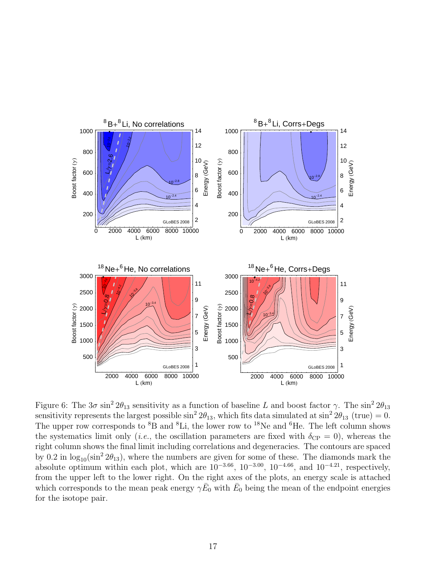

Figure 6: The  $3\sigma \sin^2 2\theta_{13}$  sensitivity as a function of baseline L and boost factor  $\gamma$ . The  $\sin^2 2\theta_{13}$ sensitivity represents the largest possible  $\sin^2 2\theta_{13}$ , which fits data simulated at  $\sin^2 2\theta_{13}$  (true) = 0. The upper row corresponds to  ${}^{8}B$  and  ${}^{8}Li$ , the lower row to  ${}^{18}Ne$  and  ${}^{6}He$ . The left column shows the systematics limit only (*i.e.*, the oscillation parameters are fixed with  $\delta_{\rm CP} = 0$ ), whereas the right column shows the final limit including correlations and degeneracies. The contours are spaced by 0.2 in  $\log_{10}(\sin^2 2\theta_{13})$ , where the numbers are given for some of these. The diamonds mark the absolute optimum within each plot, which are  $10^{-3.66}$ ,  $10^{-3.00}$ ,  $10^{-4.66}$ , and  $10^{-4.21}$ , respectively, from the upper left to the lower right. On the right axes of the plots, an energy scale is attached which corresponds to the mean peak energy  $\gamma \bar{E}_0$  with  $\bar{E}_0$  being the mean of the endpoint energies for the isotope pair.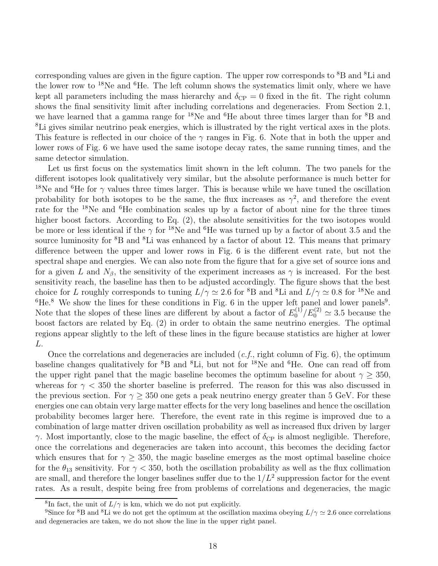corresponding values are given in the figure caption. The upper row corresponds to  ${}^{8}B$  and  ${}^{8}Li$  and the lower row to  $^{18}$ Ne and  $^{6}$ He. The left column shows the systematics limit only, where we have kept all parameters including the mass hierarchy and  $\delta_{\text{CP}} = 0$  fixed in the fit. The right column shows the final sensitivity limit after including correlations and degeneracies. From Section 2.1, we have learned that a gamma range for <sup>18</sup>Ne and <sup>6</sup>He about three times larger than for <sup>8</sup>B and <sup>8</sup>Li gives similar neutrino peak energies, which is illustrated by the right vertical axes in the plots. This feature is reflected in our choice of the  $\gamma$  ranges in Fig. 6. Note that in both the upper and lower rows of Fig. 6 we have used the same isotope decay rates, the same running times, and the same detector simulation.

Let us first focus on the systematics limit shown in the left column. The two panels for the different isotopes look qualitatively very similar, but the absolute performance is much better for <sup>18</sup>Ne and <sup>6</sup>He for  $\gamma$  values three times larger. This is because while we have tuned the oscillation probability for both isotopes to be the same, the flux increases as  $\gamma^2$ , and therefore the event rate for the  $^{18}$ Ne and  $^{6}$ He combination scales up by a factor of about nine for the three times higher boost factors. According to Eq.  $(2)$ , the absolute sensitivities for the two isotopes would be more or less identical if the  $\gamma$  for <sup>18</sup>Ne and <sup>6</sup>He was turned up by a factor of about 3.5 and the source luminosity for  ${}^{8}B$  and  ${}^{8}Li$  was enhanced by a factor of about 12. This means that primary difference between the upper and lower rows in Fig. 6 is the different event rate, but not the spectral shape and energies. We can also note from the figure that for a give set of source ions and for a given L and  $N_{\beta}$ , the sensitivity of the experiment increases as  $\gamma$  is increased. For the best sensitivity reach, the baseline has then to be adjusted accordingly. The figure shows that the best choice for L roughly corresponds to tuning  $L/\gamma \simeq 2.6$  for <sup>8</sup>B and <sup>8</sup>Li and  $L/\gamma \simeq 0.8$  for <sup>18</sup>Ne and  ${}^{6}$ He.<sup>8</sup> We show the lines for these conditions in Fig. 6 in the upper left panel and lower panels<sup>9</sup>. Note that the slopes of these lines are different by about a factor of  $E_0^{(1)}/E_0^{(2)} \simeq 3.5$  because the boost factors are related by Eq. (2) in order to obtain the same neutrino energies. The optimal regions appear slightly to the left of these lines in the figure because statistics are higher at lower L.

Once the correlations and degeneracies are included  $(c.f.,$  right column of Fig. 6), the optimum baseline changes qualitatively for  ${}^{8}B$  and  ${}^{8}Li$ , but not for  ${}^{18}Ne$  and  ${}^{6}He$ . One can read off from the upper right panel that the magic baseline becomes the optimum baseline for about  $\gamma \geq 350$ , whereas for  $\gamma$  < 350 the shorter baseline is preferred. The reason for this was also discussed in the previous section. For  $\gamma \geq 350$  one gets a peak neutrino energy greater than 5 GeV. For these energies one can obtain very large matter effects for the very long baselines and hence the oscillation probability becomes larger here. Therefore, the event rate in this regime is improved due to a combination of large matter driven oscillation probability as well as increased flux driven by larger  $γ$ . Most importantly, close to the magic baseline, the effect of  $δ<sub>CP</sub>$  is almost negligible. Therefore, once the correlations and degeneracies are taken into account, this becomes the deciding factor which ensures that for  $\gamma \geq 350$ , the magic baseline emerges as the most optimal baseline choice for the  $\theta_{13}$  sensitivity. For  $\gamma < 350$ , both the oscillation probability as well as the flux collimation are small, and therefore the longer baselines suffer due to the  $1/L^2$  suppression factor for the event rates. As a result, despite being free from problems of correlations and degeneracies, the magic

<sup>&</sup>lt;sup>8</sup>In fact, the unit of  $L/\gamma$  is km, which we do not put explicitly.

<sup>&</sup>lt;sup>9</sup>Since for <sup>8</sup>B and <sup>8</sup>Li we do not get the optimum at the oscillation maxima obeying  $L/\gamma \simeq 2.6$  once correlations and degeneracies are taken, we do not show the line in the upper right panel.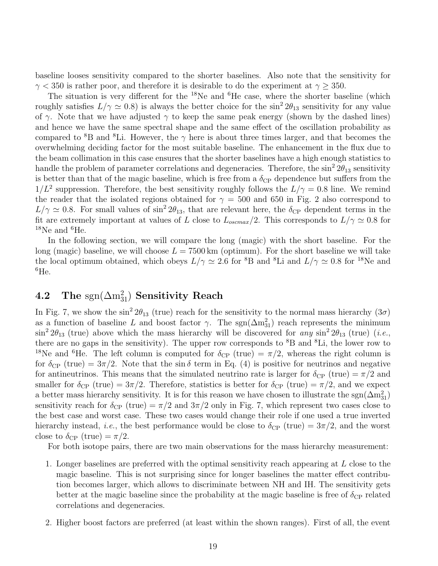baseline looses sensitivity compared to the shorter baselines. Also note that the sensitivity for  $\gamma$  < 350 is rather poor, and therefore it is desirable to do the experiment at  $\gamma \geq 350$ .

The situation is very different for the  $^{18}$ Ne and  $^{6}$ He case, where the shorter baseline (which roughly satisfies  $L/\gamma \simeq 0.8$ ) is always the better choice for the sin<sup>2</sup>  $2\theta_{13}$  sensitivity for any value of  $\gamma$ . Note that we have adjusted  $\gamma$  to keep the same peak energy (shown by the dashed lines) and hence we have the same spectral shape and the same effect of the oscillation probability as compared to <sup>8</sup>B and <sup>8</sup>Li. However, the  $\gamma$  here is about three times larger, and that becomes the overwhelming deciding factor for the most suitable baseline. The enhancement in the flux due to the beam collimation in this case ensures that the shorter baselines have a high enough statistics to handle the problem of parameter correlations and degeneracies. Therefore, the  $\sin^2 2\theta_{13}$  sensitivity is better than that of the magic baseline, which is free from a  $\delta_{\rm CP}$  dependence but suffers from the  $1/L^2$  suppression. Therefore, the best sensitivity roughly follows the  $L/\gamma = 0.8$  line. We remind the reader that the isolated regions obtained for  $\gamma = 500$  and 650 in Fig. 2 also correspond to  $L/\gamma \simeq 0.8$ . For small values of sin<sup>2</sup>  $2\theta_{13}$ , that are relevant here, the  $\delta_{CP}$  dependent terms in the fit are extremely important at values of L close to  $L_{oscmax}/2$ . This corresponds to  $L/\gamma \simeq 0.8$  for  $^{18}$ Ne and  $^{6}$ He.

In the following section, we will compare the long (magic) with the short baseline. For the long (magic) baseline, we will choose  $L = 7500 \text{ km}$  (optimum). For the short baseline we will take the local optimum obtained, which obeys  $L/\gamma \simeq 2.6$  for <sup>8</sup>B and <sup>8</sup>Li and  $L/\gamma \simeq 0.8$  for <sup>18</sup>Ne and  ${}^{6}$ He.

# $\textbf{4.2} \quad \textbf{The} \ \text{sgn}(\Delta \text{m}_{31}^{2}) \ \textbf{Sensitivity} \ \textbf{Reach}$

In Fig. 7, we show the  $\sin^2 2\theta_{13}$  (true) reach for the sensitivity to the normal mass hierarchy  $(3\sigma)$ as a function of baseline L and boost factor  $\gamma$ . The sgn( $\Delta m_{31}^2$ ) reach represents the minimum  $\sin^2 2\theta_{13}$  (true) above which the mass hierarchy will be discovered for any  $\sin^2 2\theta_{13}$  (true) (*i.e.*, there are no gaps in the sensitivity). The upper row corresponds to <sup>8</sup>B and <sup>8</sup>Li, the lower row to <sup>18</sup>Ne and <sup>6</sup>He. The left column is computed for  $\delta_{CP}$  (true) =  $\pi/2$ , whereas the right column is for  $\delta_{\rm CP}$  (true) =  $3\pi/2$ . Note that the sin  $\delta$  term in Eq. (4) is positive for neutrinos and negative for antineutrinos. This means that the simulated neutrino rate is larger for  $\delta_{\rm CP}$  (true) =  $\pi/2$  and smaller for  $\delta_{\rm CP}$  (true) =  $3\pi/2$ . Therefore, statistics is better for  $\delta_{\rm CP}$  (true) =  $\pi/2$ , and we expect a better mass hierarchy sensitivity. It is for this reason we have chosen to illustrate the  $sgn(\Delta m_{31}^2)$ sensitivity reach for  $\delta_{\text{CP}}$  (true) =  $\pi/2$  and  $3\pi/2$  only in Fig. 7, which represent two cases close to the best case and worst case. These two cases would change their role if one used a true inverted hierarchy instead, *i.e.*, the best performance would be close to  $\delta_{\rm CP}$  (true) =  $3\pi/2$ , and the worst close to  $\delta_{\rm CP}$  (true) =  $\pi/2$ .

For both isotope pairs, there are two main observations for the mass hierarchy measurement:

- 1. Longer baselines are preferred with the optimal sensitivity reach appearing at L close to the magic baseline. This is not surprising since for longer baselines the matter effect contribution becomes larger, which allows to discriminate between NH and IH. The sensitivity gets better at the magic baseline since the probability at the magic baseline is free of  $\delta_{\text{CP}}$  related correlations and degeneracies.
- 2. Higher boost factors are preferred (at least within the shown ranges). First of all, the event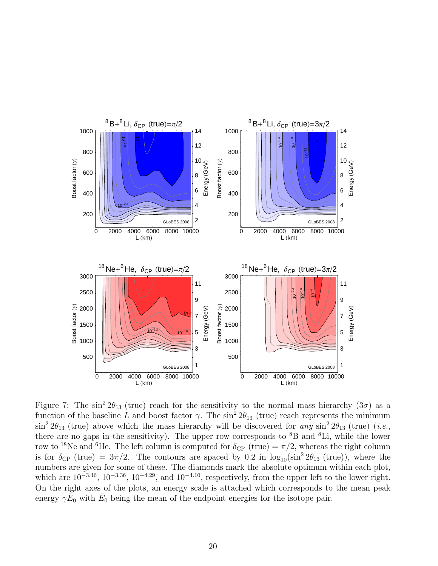

Figure 7: The  $\sin^2 2\theta_{13}$  (true) reach for the sensitivity to the normal mass hierarchy  $(3\sigma)$  as a function of the baseline L and boost factor  $\gamma$ . The sin<sup>2</sup>  $2\theta_{13}$  (true) reach represents the minimum  $\sin^2 2\theta_{13}$  (true) above which the mass hierarchy will be discovered for any  $\sin^2 2\theta_{13}$  (true) (*i.e.*, there are no gaps in the sensitivity). The upper row corresponds to <sup>8</sup>B and <sup>8</sup>Li, while the lower row to <sup>18</sup>Ne and <sup>6</sup>He. The left column is computed for  $\delta_{\rm CP}$  (true) =  $\pi/2$ , whereas the right column is for  $\delta_{\text{CP}}$  (true) =  $3\pi/2$ . The contours are spaced by 0.2 in  $\log_{10}(\sin^2 2\theta_{13} \text{ (true)}),$  where the numbers are given for some of these. The diamonds mark the absolute optimum within each plot, which are  $10^{-3.46}$ ,  $10^{-3.36}$ ,  $10^{-4.29}$ , and  $10^{-4.10}$ , respectively, from the upper left to the lower right. On the right axes of the plots, an energy scale is attached which corresponds to the mean peak energy  $\gamma \bar{E}_0$  with  $\bar{E}_0$  being the mean of the endpoint energies for the isotope pair.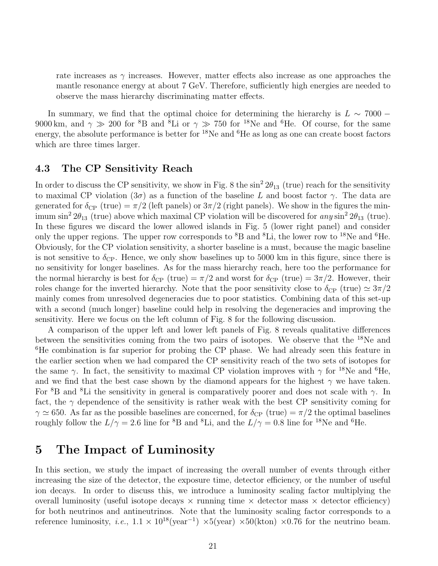rate increases as  $\gamma$  increases. However, matter effects also increase as one approaches the mantle resonance energy at about 7 GeV. Therefore, sufficiently high energies are needed to observe the mass hierarchy discriminating matter effects.

In summary, we find that the optimal choice for determining the hierarchy is  $L \sim 7000 -$ 9000 km, and  $\gamma \gg 200$  for <sup>8</sup>B and <sup>8</sup>Li or  $\gamma \gg 750$  for <sup>18</sup>Ne and <sup>6</sup>He. Of course, for the same energy, the absolute performance is better for <sup>18</sup>Ne and <sup>6</sup>He as long as one can create boost factors which are three times larger.

#### 4.3 The CP Sensitivity Reach

In order to discuss the CP sensitivity, we show in Fig. 8 the  $\sin^2 2\theta_{13}$  (true) reach for the sensitivity to maximal CP violation (3σ) as a function of the baseline L and boost factor  $\gamma$ . The data are generated for  $\delta_{\text{CP}}$  (true) =  $\pi/2$  (left panels) or  $3\pi/2$  (right panels). We show in the figures the minimum sin<sup>2</sup>  $2\theta_{13}$  (true) above which maximal CP violation will be discovered for *any* sin<sup>2</sup>  $2\theta_{13}$  (true). In these figures we discard the lower allowed islands in Fig. 5 (lower right panel) and consider only the upper regions. The upper row corresponds to  ${}^{8}B$  and  ${}^{8}Li$ , the lower row to  ${}^{18}Ne$  and  ${}^{6}He$ . Obviously, for the CP violation sensitivity, a shorter baseline is a must, because the magic baseline is not sensitive to  $\delta_{\text{CP}}$ . Hence, we only show baselines up to 5000 km in this figure, since there is no sensitivity for longer baselines. As for the mass hierarchy reach, here too the performance for the normal hierarchy is best for  $\delta_{\text{CP}}$  (true) =  $\pi/2$  and worst for  $\delta_{\text{CP}}$  (true) =  $3\pi/2$ . However, their roles change for the inverted hierarchy. Note that the poor sensitivity close to  $\delta_{\rm CP}$  (true)  $\simeq 3\pi/2$ mainly comes from unresolved degeneracies due to poor statistics. Combining data of this set-up with a second (much longer) baseline could help in resolving the degeneracies and improving the sensitivity. Here we focus on the left column of Fig. 8 for the following discussion.

A comparison of the upper left and lower left panels of Fig. 8 reveals qualitative differences between the sensitivities coming from the two pairs of isotopes. We observe that the <sup>18</sup>Ne and <sup>6</sup>He combination is far superior for probing the CP phase. We had already seen this feature in the earlier section when we had compared the CP sensitivity reach of the two sets of isotopes for the same  $\gamma$ . In fact, the sensitivity to maximal CP violation improves with  $\gamma$  for <sup>18</sup>Ne and <sup>6</sup>He, and we find that the best case shown by the diamond appears for the highest  $\gamma$  we have taken. For <sup>8</sup>B and <sup>8</sup>Li the sensitivity in general is comparatively poorer and does not scale with  $\gamma$ . In fact, the  $\gamma$  dependence of the sensitivity is rather weak with the best CP sensitivity coming for  $\gamma \simeq 650$ . As far as the possible baselines are concerned, for  $\delta_{\rm CP}$  (true) =  $\pi/2$  the optimal baselines roughly follow the  $L/\gamma = 2.6$  line for <sup>8</sup>B and <sup>8</sup>Li, and the  $L/\gamma = 0.8$  line for <sup>18</sup>Ne and <sup>6</sup>He.

### 5 The Impact of Luminosity

In this section, we study the impact of increasing the overall number of events through either increasing the size of the detector, the exposure time, detector efficiency, or the number of useful ion decays. In order to discuss this, we introduce a luminosity scaling factor multiplying the overall luminosity (useful isotope decays  $\times$  running time  $\times$  detector mass  $\times$  detector efficiency) for both neutrinos and antineutrinos. Note that the luminosity scaling factor corresponds to a reference luminosity, *i.e.*,  $1.1 \times 10^{18}$  (year<sup>-1</sup>)  $\times 5$  (year)  $\times 50$  (kton)  $\times 0.76$  for the neutrino beam.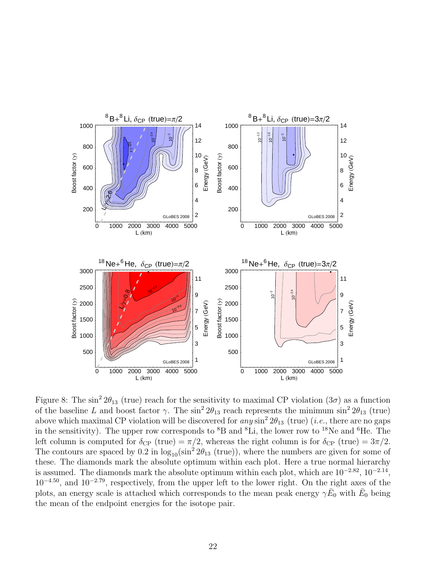

Figure 8: The  $\sin^2 2\theta_{13}$  (true) reach for the sensitivity to maximal CP violation  $(3\sigma)$  as a function of the baseline L and boost factor  $\gamma$ . The  $\sin^2 2\theta_{13}$  reach represents the minimum  $\sin^2 2\theta_{13}$  (true) above which maximal CP violation will be discovered for  $any \sin^2 2\theta_{13}$  (true) (*i.e.*, there are no gaps in the sensitivity). The upper row corresponds to  ${}^{8}B$  and  ${}^{8}Li$ , the lower row to  ${}^{18}Ne$  and  ${}^{6}He$ . The left column is computed for  $\delta_{\text{CP}}$  (true) =  $\pi/2$ , whereas the right column is for  $\delta_{\text{CP}}$  (true) =  $3\pi/2$ . The contours are spaced by 0.2 in  $\log_{10}(\sin^2 2\theta_{13} \text{ (true)}),$  where the numbers are given for some of these. The diamonds mark the absolute optimum within each plot. Here a true normal hierarchy is assumed. The diamonds mark the absolute optimum within each plot, which are  $10^{-2.82}$ ,  $10^{-2.14}$ ,  $10^{-4.50}$ , and  $10^{-2.79}$ , respectively, from the upper left to the lower right. On the right axes of the plots, an energy scale is attached which corresponds to the mean peak energy  $\gamma \bar{E}_0$  with  $\bar{E}_0$  being the mean of the endpoint energies for the isotope pair.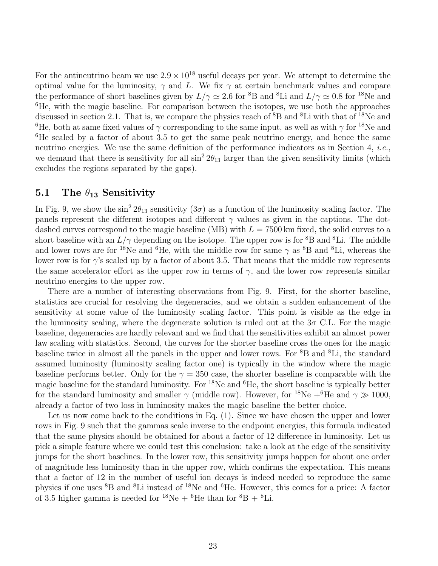For the antineutrino beam we use  $2.9 \times 10^{18}$  useful decays per year. We attempt to determine the optimal value for the luminosity,  $\gamma$  and L. We fix  $\gamma$  at certain benchmark values and compare the performance of short baselines given by  $L/\gamma \simeq 2.6$  for  ${}^{8}B$  and  ${}^{8}Li$  and  $L/\gamma \simeq 0.8$  for  ${}^{18}Ne$  and  ${}^{6}$ He, with the magic baseline. For comparison between the isotopes, we use both the approaches discussed in section 2.1. That is, we compare the physics reach of  ${}^{8}B$  and  ${}^{8}Li$  with that of  ${}^{18}Ne$  and <sup>6</sup>He, both at same fixed values of  $\gamma$  corresponding to the same input, as well as with  $\gamma$  for <sup>18</sup>Ne and  ${}^{6}$ He scaled by a factor of about 3.5 to get the same peak neutrino energy, and hence the same neutrino energies. We use the same definition of the performance indicators as in Section 4, i.e., we demand that there is sensitivity for all  $\sin^2 2\theta_{13}$  larger than the given sensitivity limits (which excludes the regions separated by the gaps).

#### 5.1 The  $\theta_{13}$  Sensitivity

In Fig. 9, we show the  $\sin^2 2\theta_{13}$  sensitivity  $(3\sigma)$  as a function of the luminosity scaling factor. The panels represent the different isotopes and different  $\gamma$  values as given in the captions. The dotdashed curves correspond to the magic baseline (MB) with  $L = 7500 \text{ km}$  fixed, the solid curves to a short baseline with an  $L/\gamma$  depending on the isotope. The upper row is for <sup>8</sup>B and <sup>8</sup>Li. The middle and lower rows are for <sup>18</sup>Ne and <sup>6</sup>He, with the middle row for same  $\gamma$  as <sup>8</sup>B and <sup>8</sup>Li, whereas the lower row is for  $\gamma$ 's scaled up by a factor of about 3.5. That means that the middle row represents the same accelerator effort as the upper row in terms of  $\gamma$ , and the lower row represents similar neutrino energies to the upper row.

There are a number of interesting observations from Fig. 9. First, for the shorter baseline, statistics are crucial for resolving the degeneracies, and we obtain a sudden enhancement of the sensitivity at some value of the luminosity scaling factor. This point is visible as the edge in the luminosity scaling, where the degenerate solution is ruled out at the  $3\sigma$  C.L. For the magic baseline, degeneracies are hardly relevant and we find that the sensitivities exhibit an almost power law scaling with statistics. Second, the curves for the shorter baseline cross the ones for the magic baseline twice in almost all the panels in the upper and lower rows. For <sup>8</sup>B and <sup>8</sup>Li, the standard assumed luminosity (luminosity scaling factor one) is typically in the window where the magic baseline performs better. Only for the  $\gamma = 350$  case, the shorter baseline is comparable with the magic baseline for the standard luminosity. For  $^{18}$ Ne and  $^{6}$ He, the short baseline is typically better for the standard luminosity and smaller  $\gamma$  (middle row). However, for <sup>18</sup>Ne +<sup>6</sup>He and  $\gamma \gg 1000$ , already a factor of two loss in luminosity makes the magic baseline the better choice.

Let us now come back to the conditions in Eq. (1). Since we have chosen the upper and lower rows in Fig. 9 such that the gammas scale inverse to the endpoint energies, this formula indicated that the same physics should be obtained for about a factor of 12 difference in luminosity. Let us pick a simple feature where we could test this conclusion: take a look at the edge of the sensitivity jumps for the short baselines. In the lower row, this sensitivity jumps happen for about one order of magnitude less luminosity than in the upper row, which confirms the expectation. This means that a factor of 12 in the number of useful ion decays is indeed needed to reproduce the same physics if one uses <sup>8</sup>B and <sup>8</sup>Li instead of <sup>18</sup>Ne and <sup>6</sup>He. However, this comes for a price: A factor of 3.5 higher gamma is needed for  $^{18}Ne + ^{6}He$  than for  $^{8}B + ^{8}Li$ .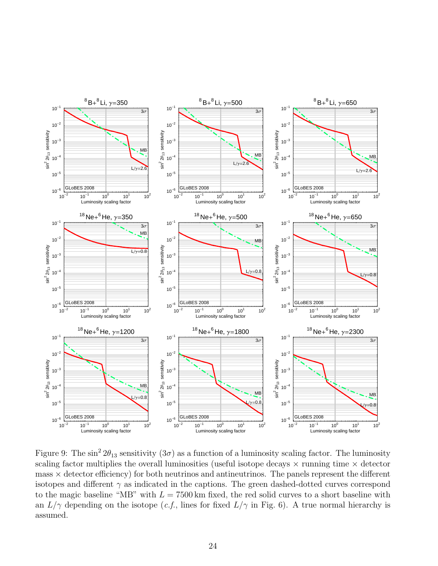

Figure 9: The  $\sin^2 2\theta_{13}$  sensitivity  $(3\sigma)$  as a function of a luminosity scaling factor. The luminosity scaling factor multiplies the overall luminosities (useful isotope decays  $\times$  running time  $\times$  detector  $\text{mass} \times \text{detector efficiency}$  for both neutrinos and antineutrinos. The panels represent the different isotopes and different  $\gamma$  as indicated in the captions. The green dashed-dotted curves correspond to the magic baseline "MB" with  $L = 7500 \text{ km}$  fixed, the red solid curves to a short baseline with an  $L/\gamma$  depending on the isotope (*c.f.*, lines for fixed  $L/\gamma$  in Fig. 6). A true normal hierarchy is assumed.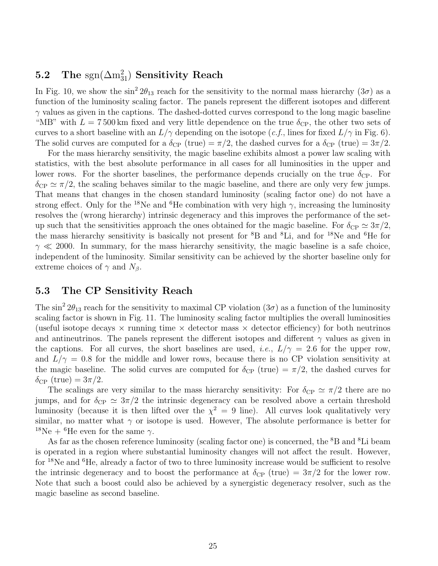# $\texttt{5.2} \quad \text{The } \text{sgn}(\Delta \text{m}_{31}^2) \text{ Sensitivity } \textbf{Reach}$

In Fig. 10, we show the  $\sin^2 2\theta_{13}$  reach for the sensitivity to the normal mass hierarchy  $(3\sigma)$  as a function of the luminosity scaling factor. The panels represent the different isotopes and different  $\gamma$  values as given in the captions. The dashed-dotted curves correspond to the long magic baseline "MB" with  $L = 7500 \text{ km}$  fixed and very little dependence on the true  $\delta_{\text{CP}}$ , the other two sets of curves to a short baseline with an  $L/\gamma$  depending on the isotope (c.f., lines for fixed  $L/\gamma$  in Fig. 6). The solid curves are computed for a  $\delta_{\rm CP}$  (true) =  $\pi/2$ , the dashed curves for a  $\delta_{\rm CP}$  (true) =  $3\pi/2$ .

For the mass hierarchy sensitivity, the magic baseline exhibits almost a power law scaling with statistics, with the best absolute performance in all cases for all luminosities in the upper and lower rows. For the shorter baselines, the performance depends crucially on the true  $\delta_{\rm CP}$ . For  $\delta_{\text{CP}} \simeq \pi/2$ , the scaling behaves similar to the magic baseline, and there are only very few jumps. That means that changes in the chosen standard luminosity (scaling factor one) do not have a strong effect. Only for the <sup>18</sup>Ne and <sup>6</sup>He combination with very high  $\gamma$ , increasing the luminosity resolves the (wrong hierarchy) intrinsic degeneracy and this improves the performance of the setup such that the sensitivities approach the ones obtained for the magic baseline. For  $\delta_{\rm CP} \simeq 3\pi/2$ , the mass hierarchy sensitivity is basically not present for  ${}^{8}B$  and  ${}^{8}Li$ , and for  ${}^{18}Ne$  and  ${}^{6}He$  for  $\gamma \ll 2000$ . In summary, for the mass hierarchy sensitivity, the magic baseline is a safe choice, independent of the luminosity. Similar sensitivity can be achieved by the shorter baseline only for extreme choices of  $\gamma$  and  $N_{\beta}$ .

#### 5.3 The CP Sensitivity Reach

The sin<sup>2</sup>  $2\theta_{13}$  reach for the sensitivity to maximal CP violation (3 $\sigma$ ) as a function of the luminosity scaling factor is shown in Fig. 11. The luminosity scaling factor multiplies the overall luminosities (useful isotope decays  $\times$  running time  $\times$  detector mass  $\times$  detector efficiency) for both neutrinos and antineutrinos. The panels represent the different isotopes and different  $\gamma$  values as given in the captions. For all curves, the short baselines are used, *i.e.*,  $L/\gamma = 2.6$  for the upper row, and  $L/\gamma = 0.8$  for the middle and lower rows, because there is no CP violation sensitivity at the magic baseline. The solid curves are computed for  $\delta_{\rm CP}$  (true) =  $\pi/2$ , the dashed curves for  $\delta_{\rm CP}$  (true) =  $3\pi/2$ .

The scalings are very similar to the mass hierarchy sensitivity: For  $\delta_{\rm CP} \simeq \pi/2$  there are no jumps, and for  $\delta_{\text{CP}} \simeq 3\pi/2$  the intrinsic degeneracy can be resolved above a certain threshold luminosity (because it is then lifted over the  $\chi^2 = 9$  line). All curves look qualitatively very similar, no matter what  $\gamma$  or isotope is used. However, The absolute performance is better for <sup>18</sup>Ne + <sup>6</sup>He even for the same  $\gamma$ .

As far as the chosen reference luminosity (scaling factor one) is concerned, the <sup>8</sup>B and <sup>8</sup>Li beam is operated in a region where substantial luminosity changes will not affect the result. However, for <sup>18</sup>Ne and <sup>6</sup>He, already a factor of two to three luminosity increase would be sufficient to resolve the intrinsic degeneracy and to boost the performance at  $\delta_{CP}$  (true) =  $3\pi/2$  for the lower row. Note that such a boost could also be achieved by a synergistic degeneracy resolver, such as the magic baseline as second baseline.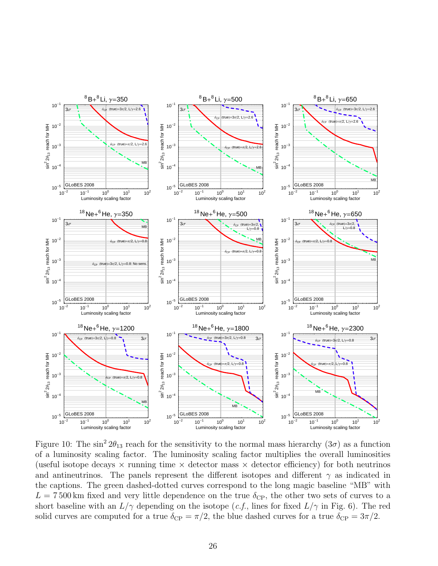

Figure 10: The  $\sin^2 2\theta_{13}$  reach for the sensitivity to the normal mass hierarchy  $(3\sigma)$  as a function of a luminosity scaling factor. The luminosity scaling factor multiplies the overall luminosities (useful isotope decays  $\times$  running time  $\times$  detector mass  $\times$  detector efficiency) for both neutrinos and antineutrinos. The panels represent the different isotopes and different  $\gamma$  as indicated in the captions. The green dashed-dotted curves correspond to the long magic baseline "MB" with  $L = 7500$  km fixed and very little dependence on the true  $\delta_{\rm CP}$ , the other two sets of curves to a short baseline with an  $L/\gamma$  depending on the isotope (c.f., lines for fixed  $L/\gamma$  in Fig. 6). The red solid curves are computed for a true  $\delta_{\text{CP}} = \pi/2$ , the blue dashed curves for a true  $\delta_{\text{CP}} = 3\pi/2$ .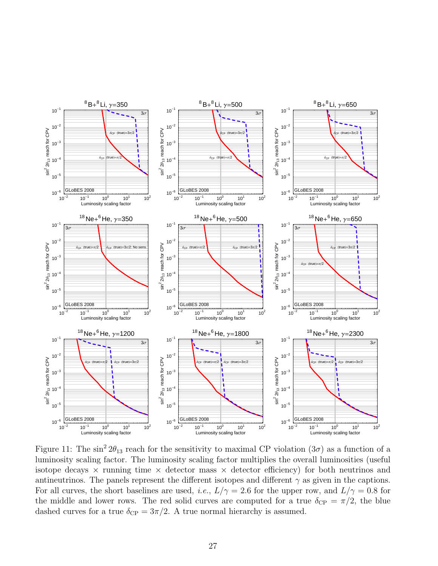

Figure 11: The  $\sin^2 2\theta_{13}$  reach for the sensitivity to maximal CP violation  $(3\sigma)$  as a function of a luminosity scaling factor. The luminosity scaling factor multiplies the overall luminosities (useful isotope decays  $\times$  running time  $\times$  detector mass  $\times$  detector efficiency) for both neutrinos and antineutrinos. The panels represent the different isotopes and different  $\gamma$  as given in the captions. For all curves, the short baselines are used, *i.e.*,  $L/\gamma = 2.6$  for the upper row, and  $L/\gamma = 0.8$  for the middle and lower rows. The red solid curves are computed for a true  $\delta_{\rm CP} = \pi/2$ , the blue dashed curves for a true  $\delta_{\text{CP}} = 3\pi/2$ . A true normal hierarchy is assumed.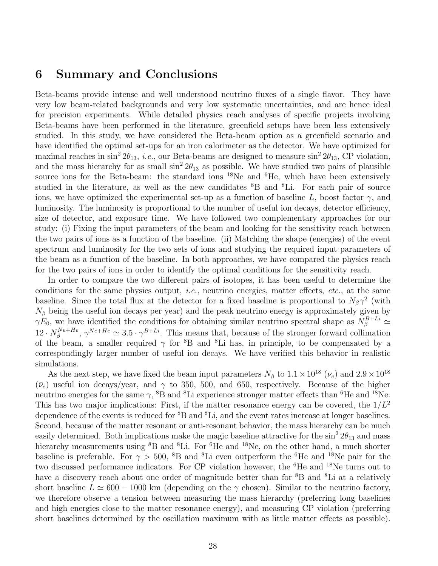### 6 Summary and Conclusions

Beta-beams provide intense and well understood neutrino fluxes of a single flavor. They have very low beam-related backgrounds and very low systematic uncertainties, and are hence ideal for precision experiments. While detailed physics reach analyses of specific projects involving Beta-beams have been performed in the literature, greenfield setups have been less extensively studied. In this study, we have considered the Beta-beam option as a greenfield scenario and have identified the optimal set-ups for an iron calorimeter as the detector. We have optimized for maximal reaches in  $\sin^2 2\theta_{13}$ , *i.e.*, our Beta-beams are designed to measure  $\sin^2 2\theta_{13}$ , CP violation, and the mass hierarchy for as small  $\sin^2 2\theta_{13}$  as possible. We have studied two pairs of plausible source ions for the Beta-beam: the standard ions  $^{18}$ Ne and  $^{6}$ He, which have been extensively studied in the literature, as well as the new candidates  ${}^{8}B$  and  ${}^{8}Li$ . For each pair of source ions, we have optimized the experimental set-up as a function of baseline L, boost factor  $\gamma$ , and luminosity. The luminosity is proportional to the number of useful ion decays, detector efficiency, size of detector, and exposure time. We have followed two complementary approaches for our study: (i) Fixing the input parameters of the beam and looking for the sensitivity reach between the two pairs of ions as a function of the baseline. (ii) Matching the shape (energies) of the event spectrum and luminosity for the two sets of ions and studying the required input parameters of the beam as a function of the baseline. In both approaches, we have compared the physics reach for the two pairs of ions in order to identify the optimal conditions for the sensitivity reach.

In order to compare the two different pairs of isotopes, it has been useful to determine the conditions for the same physics output, *i.e.*, neutrino energies, matter effects, *etc.*, at the same baseline. Since the total flux at the detector for a fixed baseline is proportional to  $N_\beta \gamma^2$  (with  $N_{\beta}$  being the useful ion decays per year) and the peak neutrino energy is approximately given by  $\gamma E_0$ , we have identified the conditions for obtaining similar neutrino spectral shape as  $N_\beta^{B+Li} \simeq$  $12 \cdot N_{\beta}^{Ne+He}, \gamma^{Ne+He} \simeq 3.5 \cdot \gamma^{B+Li}$ . This means that, because of the stronger forward collimation of the beam, a smaller required  $\gamma$  for <sup>8</sup>B and <sup>8</sup>Li has, in principle, to be compensated by a correspondingly larger number of useful ion decays. We have verified this behavior in realistic simulations.

As the next step, we have fixed the beam input parameters  $N_\beta$  to  $1.1 \times 10^{18}$  ( $\nu_e$ ) and  $2.9 \times 10^{18}$  $(\bar{\nu}_e)$  useful ion decays/year, and  $\gamma$  to 350, 500, and 650, respectively. Because of the higher neutrino energies for the same  $\gamma$ , <sup>8</sup>B and <sup>8</sup>Li experience stronger matter effects than <sup>6</sup>He and <sup>18</sup>Ne. This has two major implications: First, if the matter resonance energy can be covered, the  $1/L^2$ dependence of the events is reduced for <sup>8</sup>B and <sup>8</sup>Li, and the event rates increase at longer baselines. Second, because of the matter resonant or anti-resonant behavior, the mass hierarchy can be much easily determined. Both implications make the magic baseline attractive for the  $\sin^2 2\theta_{13}$  and mass hierarchy measurements using <sup>8</sup>B and <sup>8</sup>Li. For <sup>6</sup>He and <sup>18</sup>Ne, on the other hand, a much shorter baseline is preferable. For  $\gamma > 500$ , <sup>8</sup>B and <sup>8</sup>Li even outperform the <sup>6</sup>He and <sup>18</sup>Ne pair for the two discussed performance indicators. For CP violation however, the <sup>6</sup>He and <sup>18</sup>Ne turns out to have a discovery reach about one order of magnitude better than for <sup>8</sup>B and <sup>8</sup>Li at a relatively short baseline  $L \simeq 600 - 1000$  km (depending on the  $\gamma$  chosen). Similar to the neutrino factory, we therefore observe a tension between measuring the mass hierarchy (preferring long baselines and high energies close to the matter resonance energy), and measuring CP violation (preferring short baselines determined by the oscillation maximum with as little matter effects as possible).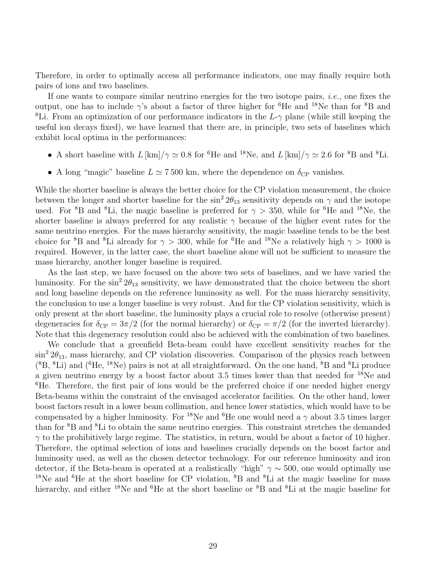Therefore, in order to optimally access all performance indicators, one may finally require both pairs of ions and two baselines.

If one wants to compare similar neutrino energies for the two isotope pairs, i.e., one fixes the output, one has to include  $\gamma$ 's about a factor of three higher for <sup>6</sup>He and <sup>18</sup>Ne than for <sup>8</sup>B and <sup>8</sup>Li. From an optimization of our performance indicators in the  $L_{\gamma}$  plane (while still keeping the useful ion decays fixed), we have learned that there are, in principle, two sets of baselines which exhibit local optima in the performances:

- A short baseline with  $L \text{ [km]}/\gamma \simeq 0.8$  for <sup>6</sup>He and <sup>18</sup>Ne, and  $L \text{ [km]}/\gamma \simeq 2.6$  for <sup>8</sup>B and <sup>8</sup>Li.
- A long "magic" baseline  $L \simeq 7500$  km, where the dependence on  $\delta_{\rm CP}$  vanishes.

While the shorter baseline is always the better choice for the CP violation measurement, the choice between the longer and shorter baseline for the  $\sin^2 2\theta_{13}$  sensitivity depends on  $\gamma$  and the isotope used. For <sup>8</sup>B and <sup>8</sup>Li, the magic baseline is preferred for  $\gamma > 350$ , while for <sup>6</sup>He and <sup>18</sup>Ne, the shorter baseline is always preferred for any realistic  $\gamma$  because of the higher event rates for the same neutrino energies. For the mass hierarchy sensitivity, the magic baseline tends to be the best choice for <sup>8</sup>B and <sup>8</sup>Li already for  $\gamma > 300$ , while for <sup>6</sup>He and <sup>18</sup>Ne a relatively high  $\gamma > 1000$  is required. However, in the latter case, the short baseline alone will not be sufficient to measure the mass hierarchy, another longer baseline is required.

As the last step, we have focused on the above two sets of baselines, and we have varied the luminosity. For the  $\sin^2 2\theta_{13}$  sensitivity, we have demonstrated that the choice between the short and long baseline depends on the reference luminosity as well. For the mass hierarchy sensitivity, the conclusion to use a longer baseline is very robust. And for the CP violation sensitivity, which is only present at the short baseline, the luminosity plays a crucial role to resolve (otherwise present) degeneracies for  $\delta_{\text{CP}} = 3\pi/2$  (for the normal hierarchy) or  $\delta_{\text{CP}} = \pi/2$  (for the inverted hierarchy). Note that this degeneracy resolution could also be achieved with the combination of two baselines.

We conclude that a greenfield Beta-beam could have excellent sensitivity reaches for the  $\sin^2 2\theta_{13}$ , mass hierarchy, and CP violation discoveries. Comparison of the physics reach between  $(^{8}B, ^{8}Li)$  and  $(^{6}He, ^{18}Ne)$  pairs is not at all straightforward. On the one hand,  $^8B$  and  $^8Li$  produce a given neutrino energy by a boost factor about 3.5 times lower than that needed for  $^{18}$ Ne and <sup>6</sup>He. Therefore, the first pair of ions would be the preferred choice if one needed higher energy Beta-beams within the constraint of the envisaged accelerator facilities. On the other hand, lower boost factors result in a lower beam collimation, and hence lower statistics, which would have to be compensated by a higher luminosity. For <sup>18</sup>Ne and <sup>6</sup>He one would need a  $\gamma$  about 3.5 times larger than for <sup>8</sup>B and <sup>8</sup>Li to obtain the same neutrino energies. This constraint stretches the demanded  $\gamma$  to the prohibitively large regime. The statistics, in return, would be about a factor of 10 higher. Therefore, the optimal selection of ions and baselines crucially depends on the boost factor and luminosity used, as well as the chosen detector technology. For our reference luminosity and iron detector, if the Beta-beam is operated at a realistically "high"  $\gamma \sim 500$ , one would optimally use <sup>18</sup>Ne and <sup>6</sup>He at the short baseline for CP violation, <sup>8</sup>B and <sup>8</sup>Li at the magic baseline for mass hierarchy, and either <sup>18</sup>Ne and <sup>6</sup>He at the short baseline or <sup>8</sup>B and <sup>8</sup>Li at the magic baseline for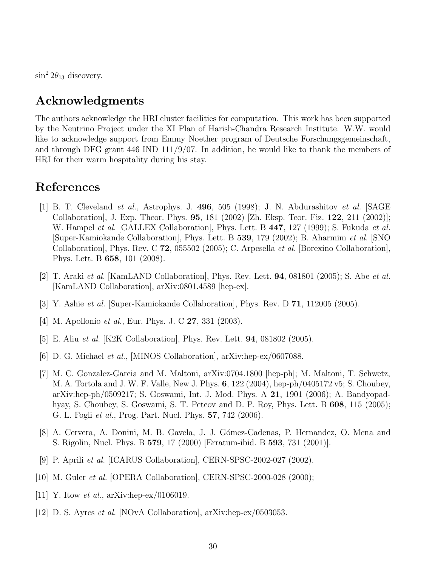$\sin^2 2\theta_{13}$  discovery.

## Acknowledgments

The authors acknowledge the HRI cluster facilities for computation. This work has been supported by the Neutrino Project under the XI Plan of Harish-Chandra Research Institute. W.W. would like to acknowledge support from Emmy Noether program of Deutsche Forschungsgemeinschaft, and through DFG grant 446 IND  $111/9/07$ . In addition, he would like to thank the members of HRI for their warm hospitality during his stay.

## References

- [1] B. T. Cleveland et al., Astrophys. J. 496, 505 (1998); J. N. Abdurashitov et al. [SAGE Collaboration], J. Exp. Theor. Phys. 95, 181 (2002) [Zh. Eksp. Teor. Fiz. 122, 211 (2002)]; W. Hampel *et al.* [GALLEX Collaboration], Phys. Lett. B 447, 127 (1999); S. Fukuda *et al.* [Super-Kamiokande Collaboration], Phys. Lett. B 539, 179 (2002); B. Aharmim et al. [SNO Collaboration], Phys. Rev. C 72, 055502 (2005); C. Arpesella *et al.* [Borexino Collaboration], Phys. Lett. B 658, 101 (2008).
- [2] T. Araki *et al.* [KamLAND Collaboration], Phys. Rev. Lett. **94**, 081801 (2005); S. Abe *et al.* [KamLAND Collaboration], arXiv:0801.4589 [hep-ex].
- [3] Y. Ashie et al. [Super-Kamiokande Collaboration], Phys. Rev. D 71, 112005 (2005).
- [4] M. Apollonio et al., Eur. Phys. J. C 27, 331 (2003).
- [5] E. Aliu et al. [K2K Collaboration], Phys. Rev. Lett. 94, 081802 (2005).
- [6] D. G. Michael et al., [MINOS Collaboration], arXiv:hep-ex/0607088.
- [7] M. C. Gonzalez-Garcia and M. Maltoni, arXiv:0704.1800 [hep-ph]; M. Maltoni, T. Schwetz, M. A. Tortola and J. W. F. Valle, New J. Phys. 6, 122 (2004), hep-ph/0405172 v5; S. Choubey, arXiv:hep-ph/0509217; S. Goswami, Int. J. Mod. Phys. A 21, 1901 (2006); A. Bandyopadhyay, S. Choubey, S. Goswami, S. T. Petcov and D. P. Roy, Phys. Lett. B 608, 115 (2005); G. L. Fogli et al., Prog. Part. Nucl. Phys. 57, 742 (2006).
- [8] A. Cervera, A. Donini, M. B. Gavela, J. J. G´omez-Cadenas, P. Hernandez, O. Mena and S. Rigolin, Nucl. Phys. B 579, 17 (2000) [Erratum-ibid. B 593, 731 (2001)].
- [9] P. Aprili et al. [ICARUS Collaboration], CERN-SPSC-2002-027 (2002).
- [10] M. Guler et al. [OPERA Collaboration], CERN-SPSC-2000-028 (2000);
- [11] Y. Itow *et al.*,  $arXiv:hep-ex/0106019$ .
- [12] D. S. Ayres et al. [NOvA Collaboration], arXiv:hep-ex/0503053.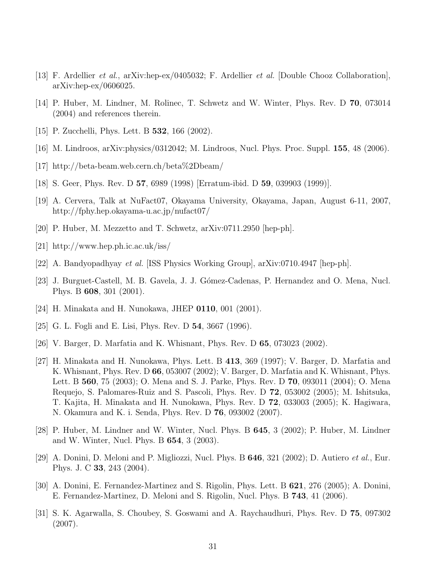- [13] F. Ardellier et al., arXiv:hep-ex/0405032; F. Ardellier et al. [Double Chooz Collaboration], arXiv:hep-ex/0606025.
- [14] P. Huber, M. Lindner, M. Rolinec, T. Schwetz and W. Winter, Phys. Rev. D 70, 073014 (2004) and references therein.
- [15] P. Zucchelli, Phys. Lett. B 532, 166 (2002).
- [16] M. Lindroos, arXiv:physics/0312042; M. Lindroos, Nucl. Phys. Proc. Suppl. 155, 48 (2006).
- [17] http://beta-beam.web.cern.ch/beta%2Dbeam/
- [18] S. Geer, Phys. Rev. D 57, 6989 (1998) [Erratum-ibid. D 59, 039903 (1999)].
- [19] A. Cervera, Talk at NuFact07, Okayama University, Okayama, Japan, August 6-11, 2007, http://fphy.hep.okayama-u.ac.jp/nufact07/
- [20] P. Huber, M. Mezzetto and T. Schwetz, arXiv:0711.2950 [hep-ph].
- [21] http://www.hep.ph.ic.ac.uk/iss/
- [22] A. Bandyopadhyay et al. [ISS Physics Working Group], arXiv:0710.4947 [hep-ph].
- [23] J. Burguet-Castell, M. B. Gavela, J. J. G´omez-Cadenas, P. Hernandez and O. Mena, Nucl. Phys. B 608, 301 (2001).
- [24] H. Minakata and H. Nunokawa, JHEP 0110, 001 (2001).
- [25] G. L. Fogli and E. Lisi, Phys. Rev. D 54, 3667 (1996).
- [26] V. Barger, D. Marfatia and K. Whisnant, Phys. Rev. D 65, 073023 (2002).
- [27] H. Minakata and H. Nunokawa, Phys. Lett. B 413, 369 (1997); V. Barger, D. Marfatia and K. Whisnant, Phys. Rev. D 66, 053007 (2002); V. Barger, D. Marfatia and K. Whisnant, Phys. Lett. B 560, 75 (2003); O. Mena and S. J. Parke, Phys. Rev. D 70, 093011 (2004); O. Mena Requejo, S. Palomares-Ruiz and S. Pascoli, Phys. Rev. D 72, 053002 (2005); M. Ishitsuka, T. Kajita, H. Minakata and H. Nunokawa, Phys. Rev. D 72, 033003 (2005); K. Hagiwara, N. Okamura and K. i. Senda, Phys. Rev. D 76, 093002 (2007).
- [28] P. Huber, M. Lindner and W. Winter, Nucl. Phys. B 645, 3 (2002); P. Huber, M. Lindner and W. Winter, Nucl. Phys. B 654, 3 (2003).
- [29] A. Donini, D. Meloni and P. Migliozzi, Nucl. Phys. B  $646$ , 321 (2002); D. Autiero *et al.*, Eur. Phys. J. C 33, 243 (2004).
- [30] A. Donini, E. Fernandez-Martinez and S. Rigolin, Phys. Lett. B 621, 276 (2005); A. Donini, E. Fernandez-Martinez, D. Meloni and S. Rigolin, Nucl. Phys. B 743, 41 (2006).
- [31] S. K. Agarwalla, S. Choubey, S. Goswami and A. Raychaudhuri, Phys. Rev. D 75, 097302 (2007).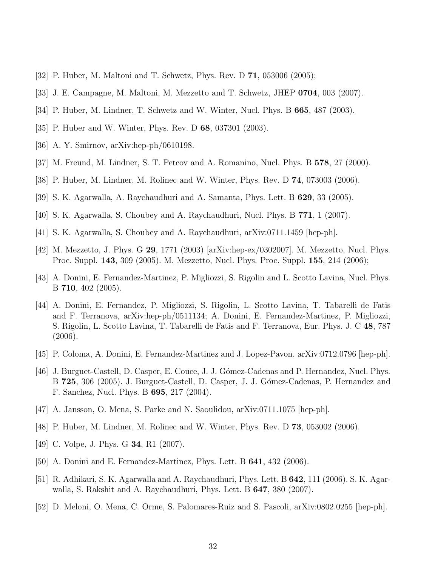- [32] P. Huber, M. Maltoni and T. Schwetz, Phys. Rev. D 71, 053006 (2005);
- [33] J. E. Campagne, M. Maltoni, M. Mezzetto and T. Schwetz, JHEP 0704, 003 (2007).
- [34] P. Huber, M. Lindner, T. Schwetz and W. Winter, Nucl. Phys. B 665, 487 (2003).
- [35] P. Huber and W. Winter, Phys. Rev. D 68, 037301 (2003).
- [36] A. Y. Smirnov, arXiv:hep-ph/0610198.
- [37] M. Freund, M. Lindner, S. T. Petcov and A. Romanino, Nucl. Phys. B 578, 27 (2000).
- [38] P. Huber, M. Lindner, M. Rolinec and W. Winter, Phys. Rev. D 74, 073003 (2006).
- [39] S. K. Agarwalla, A. Raychaudhuri and A. Samanta, Phys. Lett. B 629, 33 (2005).
- [40] S. K. Agarwalla, S. Choubey and A. Raychaudhuri, Nucl. Phys. B 771, 1 (2007).
- [41] S. K. Agarwalla, S. Choubey and A. Raychaudhuri, arXiv:0711.1459 [hep-ph].
- [42] M. Mezzetto, J. Phys. G 29, 1771 (2003) [arXiv:hep-ex/0302007]. M. Mezzetto, Nucl. Phys. Proc. Suppl. 143, 309 (2005). M. Mezzetto, Nucl. Phys. Proc. Suppl. 155, 214 (2006);
- [43] A. Donini, E. Fernandez-Martinez, P. Migliozzi, S. Rigolin and L. Scotto Lavina, Nucl. Phys. B 710, 402 (2005).
- [44] A. Donini, E. Fernandez, P. Migliozzi, S. Rigolin, L. Scotto Lavina, T. Tabarelli de Fatis and F. Terranova, arXiv:hep-ph/0511134; A. Donini, E. Fernandez-Martinez, P. Migliozzi, S. Rigolin, L. Scotto Lavina, T. Tabarelli de Fatis and F. Terranova, Eur. Phys. J. C 48, 787 (2006).
- [45] P. Coloma, A. Donini, E. Fernandez-Martinez and J. Lopez-Pavon, arXiv:0712.0796 [hep-ph].
- [46] J. Burguet-Castell, D. Casper, E. Couce, J. J. G´omez-Cadenas and P. Hernandez, Nucl. Phys. B 725, 306 (2005). J. Burguet-Castell, D. Casper, J. J. Gómez-Cadenas, P. Hernandez and F. Sanchez, Nucl. Phys. B 695, 217 (2004).
- [47] A. Jansson, O. Mena, S. Parke and N. Saoulidou, arXiv:0711.1075 [hep-ph].
- [48] P. Huber, M. Lindner, M. Rolinec and W. Winter, Phys. Rev. D 73, 053002 (2006).
- [49] C. Volpe, J. Phys. G **34**, R1 (2007).
- [50] A. Donini and E. Fernandez-Martinez, Phys. Lett. B 641, 432 (2006).
- [51] R. Adhikari, S. K. Agarwalla and A. Raychaudhuri, Phys. Lett. B 642, 111 (2006). S. K. Agarwalla, S. Rakshit and A. Raychaudhuri, Phys. Lett. B 647, 380 (2007).
- [52] D. Meloni, O. Mena, C. Orme, S. Palomares-Ruiz and S. Pascoli, arXiv:0802.0255 [hep-ph].